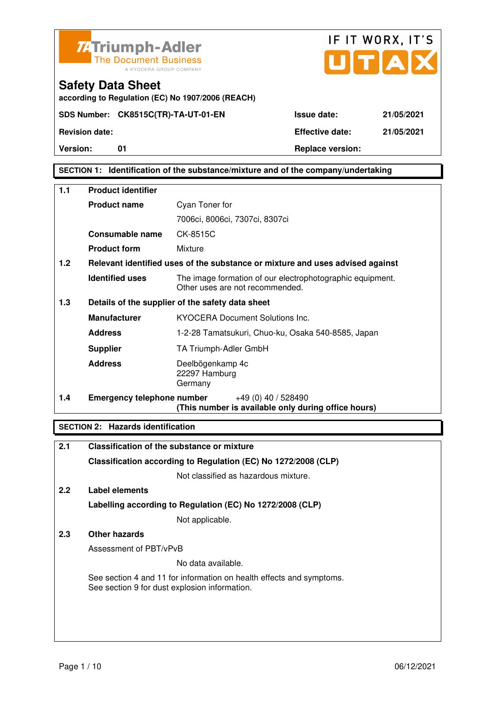



**according to Regulation (EC) No 1907/2006 (REACH)**

**Version:** 01 **Replace version:** 

### **SECTION 1: Identification of the substance/mixture and of the company/undertaking**

| 1.1 | <b>Product identifier</b>         |                                                                                              |
|-----|-----------------------------------|----------------------------------------------------------------------------------------------|
|     | <b>Product name</b>               | Cyan Toner for                                                                               |
|     |                                   | 7006ci, 8006ci, 7307ci, 8307ci                                                               |
|     | Consumable name                   | CK-8515C                                                                                     |
|     | <b>Product form</b>               | Mixture                                                                                      |
| 1.2 |                                   | Relevant identified uses of the substance or mixture and uses advised against                |
|     | <b>Identified uses</b>            | The image formation of our electrophotographic equipment.<br>Other uses are not recommended. |
| 1.3 |                                   | Details of the supplier of the safety data sheet                                             |
|     | <b>Manufacturer</b>               | <b>KYOCERA Document Solutions Inc.</b>                                                       |
|     | <b>Address</b>                    | 1-2-28 Tamatsukuri, Chuo-ku, Osaka 540-8585, Japan                                           |
|     | <b>Supplier</b>                   | TA Triumph-Adler GmbH                                                                        |
|     | <b>Address</b>                    | Deelbögenkamp 4c<br>22297 Hamburg<br>Germany                                                 |
| 1.4 | <b>Emergency telephone number</b> | $+49(0)$ 40 / 528490<br>(This number is available only during office hours)                  |

### **SECTION 2: Hazards identification**

| 2.1           | Classification of the substance or mixture                                                                            |
|---------------|-----------------------------------------------------------------------------------------------------------------------|
|               | Classification according to Regulation (EC) No 1272/2008 (CLP)                                                        |
|               | Not classified as hazardous mixture.                                                                                  |
| $2.2^{\circ}$ | Label elements                                                                                                        |
|               | Labelling according to Regulation (EC) No 1272/2008 (CLP)                                                             |
|               | Not applicable.                                                                                                       |
| 2.3           | Other hazards                                                                                                         |
|               | Assessment of PBT/vPvB                                                                                                |
|               | No data available.                                                                                                    |
|               | See section 4 and 11 for information on health effects and symptoms.<br>See section 9 for dust explosion information. |
|               |                                                                                                                       |
|               |                                                                                                                       |
|               |                                                                                                                       |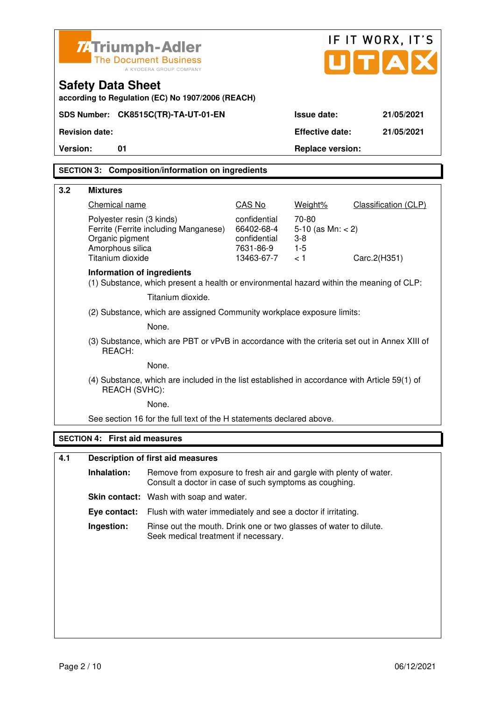|                                                                               | <b>74 Triumph-Adler</b>                                                              | <b>The Document Business</b><br>A KYOCERA GROUP COMPANY                                                                      |                                                                       | IF IT WORX, IT'S<br>$\mathbf{U}[\mathbf{T} \mathbf{A}]$  |                             |
|-------------------------------------------------------------------------------|--------------------------------------------------------------------------------------|------------------------------------------------------------------------------------------------------------------------------|-----------------------------------------------------------------------|----------------------------------------------------------|-----------------------------|
| <b>Safety Data Sheet</b><br>according to Regulation (EC) No 1907/2006 (REACH) |                                                                                      |                                                                                                                              |                                                                       |                                                          |                             |
|                                                                               |                                                                                      | SDS Number: CK8515C(TR)-TA-UT-01-EN                                                                                          |                                                                       | <b>Issue date:</b>                                       | 21/05/2021                  |
|                                                                               | <b>Revision date:</b>                                                                |                                                                                                                              |                                                                       | <b>Effective date:</b>                                   | 21/05/2021                  |
| <b>Version:</b>                                                               | 01                                                                                   |                                                                                                                              |                                                                       | <b>Replace version:</b>                                  |                             |
|                                                                               |                                                                                      | <b>SECTION 3: Composition/information on ingredients</b>                                                                     |                                                                       |                                                          |                             |
| 3.2                                                                           | <b>Mixtures</b>                                                                      |                                                                                                                              |                                                                       |                                                          |                             |
|                                                                               | Chemical name                                                                        |                                                                                                                              | <b>CAS No</b>                                                         | Weight%                                                  | <b>Classification (CLP)</b> |
|                                                                               | Polyester resin (3 kinds)<br>Organic pigment<br>Amorphous silica<br>Titanium dioxide | Ferrite (Ferrite including Manganese)                                                                                        | confidential<br>66402-68-4<br>confidential<br>7631-86-9<br>13463-67-7 | 70-80<br>5-10 (as $Mn: < 2$ )<br>$3 - 8$<br>$1-5$<br>< 1 | Carc.2(H351)                |
|                                                                               | Information of ingredients                                                           | (1) Substance, which present a health or environmental hazard within the meaning of CLP:                                     |                                                                       |                                                          |                             |
|                                                                               |                                                                                      | Titanium dioxide.                                                                                                            |                                                                       |                                                          |                             |
|                                                                               | (2) Substance, which are assigned Community workplace exposure limits:               |                                                                                                                              |                                                                       |                                                          |                             |
|                                                                               | None.                                                                                |                                                                                                                              |                                                                       |                                                          |                             |
|                                                                               | REACH:                                                                               | (3) Substance, which are PBT or vPvB in accordance with the criteria set out in Annex XIII of                                |                                                                       |                                                          |                             |
|                                                                               |                                                                                      | None.                                                                                                                        |                                                                       |                                                          |                             |
|                                                                               | REACH (SVHC):                                                                        | (4) Substance, which are included in the list established in accordance with Article 59(1) of                                |                                                                       |                                                          |                             |
|                                                                               |                                                                                      | None.                                                                                                                        |                                                                       |                                                          |                             |
|                                                                               |                                                                                      | See section 16 for the full text of the H statements declared above.                                                         |                                                                       |                                                          |                             |
|                                                                               | <b>SECTION 4: First aid measures</b>                                                 |                                                                                                                              |                                                                       |                                                          |                             |
| 4.1                                                                           |                                                                                      | <b>Description of first aid measures</b>                                                                                     |                                                                       |                                                          |                             |
|                                                                               | Inhalation:                                                                          | Remove from exposure to fresh air and gargle with plenty of water.<br>Consult a doctor in case of such symptoms as coughing. |                                                                       |                                                          |                             |
|                                                                               |                                                                                      | Skin contact: Wash with soap and water.                                                                                      |                                                                       |                                                          |                             |
|                                                                               | Eye contact:                                                                         | Flush with water immediately and see a doctor if irritating.                                                                 |                                                                       |                                                          |                             |
|                                                                               | Ingestion:                                                                           | Rinse out the mouth. Drink one or two glasses of water to dilute.<br>Seek medical treatment if necessary.                    |                                                                       |                                                          |                             |
|                                                                               |                                                                                      |                                                                                                                              |                                                                       |                                                          |                             |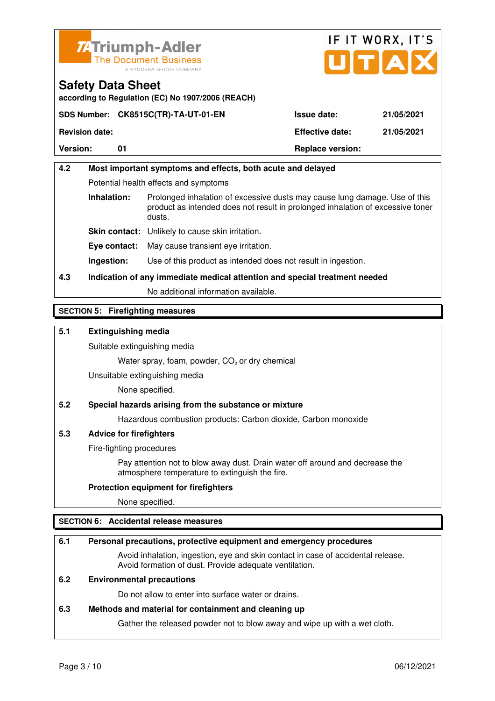



**according to Regulation (EC) No 1907/2006 (REACH)**

|                       | SDS Number: CK8515C(TR)-TA-UT-01-EN | <b>Issue date:</b>                   | 21/05/2021 |
|-----------------------|-------------------------------------|--------------------------------------|------------|
| <b>Revision date:</b> |                                     | <b>Effective date:</b><br>21/05/2021 |            |
| <b>Version:</b>       |                                     | <b>Replace version:</b>              |            |

# **4.2 Most important symptoms and effects, both acute and delayed**  Potential health effects and symptoms **Inhalation:** Prolonged inhalation of excessive dusts may cause lung damage. Use of this product as intended does not result in prolonged inhalation of excessive toner dusts. **Skin contact:** Unlikely to cause skin irritation. **Eye contact:** May cause transient eye irritation.

**Ingestion:** Use of this product as intended does not result in ingestion.

# **4.3 Indication of any immediate medical attention and special treatment needed**

No additional information available.

### **SECTION 5: Firefighting measures**

### **5.1 Extinguishing media**

Suitable extinguishing media

Water spray, foam, powder,  $CO<sub>2</sub>$  or dry chemical

Unsuitable extinguishing media

None specified.

### **5.2 Special hazards arising from the substance or mixture**

Hazardous combustion products: Carbon dioxide, Carbon monoxide

### **5.3 Advice for firefighters**

Fire-fighting procedures

 Pay attention not to blow away dust. Drain water off around and decrease the atmosphere temperature to extinguish the fire.

#### **Protection equipment for firefighters**

None specified.

### **SECTION 6: Accidental release measures**

### **6.1 Personal precautions, protective equipment and emergency procedures**

 Avoid inhalation, ingestion, eye and skin contact in case of accidental release. Avoid formation of dust. Provide adequate ventilation.

### **6.2 Environmental precautions**

Do not allow to enter into surface water or drains.

#### **6.3 Methods and material for containment and cleaning up**

Gather the released powder not to blow away and wipe up with a wet cloth.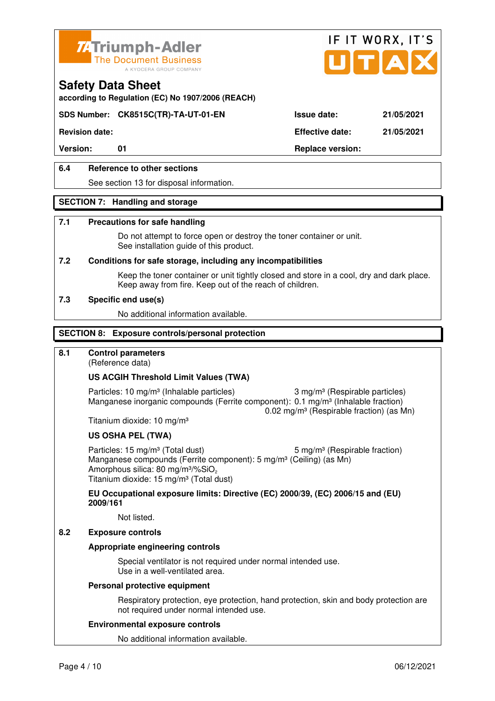



**according to Regulation (EC) No 1907/2006 (REACH)**

### **SDS Number: CK8515C(TR)-TA-UT-01-EN Issue date: 21/05/2021**

**Revision date: Effective date: 21/05/2021** 

Version: 01 01 **Replace version:** 

### **6.4 Reference to other sections**

See section 13 for disposal information.

#### **SECTION 7: Handling and storage**

#### **7.1 Precautions for safe handling**

 Do not attempt to force open or destroy the toner container or unit. See installation guide of this product.

#### **7.2 Conditions for safe storage, including any incompatibilities**

Keep the toner container or unit tightly closed and store in a cool, dry and dark place. Keep away from fire. Keep out of the reach of children.

#### **7.3 Specific end use(s)**

No additional information available.

#### **SECTION 8: Exposure controls/personal protection**

### **8.1 Control parameters**

(Reference data)

#### **US ACGIH Threshold Limit Values (TWA)**

Particles: 10 mg/m<sup>3</sup> (Inhalable particles) 3 mg/m<sup>3</sup> (Respirable particles) Manganese inorganic compounds (Ferrite component): 0.1 mg/m<sup>3</sup> (Inhalable fraction) 0.02 mg/m³ (Respirable fraction) (as Mn)

Titanium dioxide: 10 mg/m³

#### **US OSHA PEL (TWA)**

Particles: 15 mg/m<sup>3</sup> (Total dust) 5 mg/m<sup>3</sup> (Respirable fraction) Manganese compounds (Ferrite component): 5 mg/m<sup>3</sup> (Ceiling) (as Mn) Amorphous silica: 80 mg/m $3\%$ SiO<sub>2</sub> Titanium dioxide: 15 mg/m<sup>3</sup> (Total dust)

**EU Occupational exposure limits: Directive (EC) 2000/39, (EC) 2006/15 and (EU) 2009/161**

Not listed.

### **8.2 Exposure controls**

#### **Appropriate engineering controls**

 Special ventilator is not required under normal intended use. Use in a well-ventilated area.

#### **Personal protective equipment**

 Respiratory protection, eye protection, hand protection, skin and body protection are not required under normal intended use.

#### **Environmental exposure controls**

No additional information available.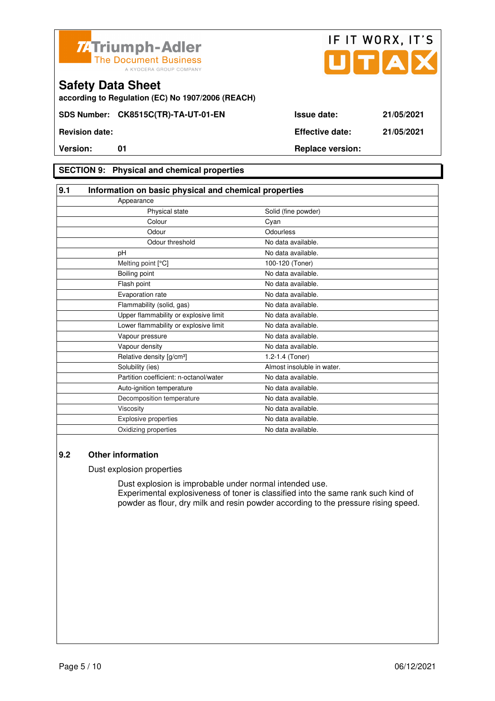



**according to Regulation (EC) No 1907/2006 (REACH)**

### **SECTION 9: Physical and chemical properties**

| 9.1                                   | Information on basic physical and chemical properties |                            |  |
|---------------------------------------|-------------------------------------------------------|----------------------------|--|
| Appearance                            |                                                       |                            |  |
|                                       | Physical state                                        | Solid (fine powder)        |  |
|                                       | Colour                                                | Cyan                       |  |
|                                       | Odour                                                 | Odourless                  |  |
|                                       | Odour threshold                                       | No data available.         |  |
| pH                                    |                                                       | No data available.         |  |
| Melting point [°C]                    |                                                       | 100-120 (Toner)            |  |
| Boiling point                         |                                                       | No data available.         |  |
| Flash point                           |                                                       | No data available.         |  |
| Evaporation rate                      |                                                       | No data available.         |  |
| Flammability (solid, gas)             |                                                       | No data available.         |  |
|                                       | Upper flammability or explosive limit                 | No data available.         |  |
|                                       | Lower flammability or explosive limit                 | No data available.         |  |
| Vapour pressure                       |                                                       | No data available.         |  |
| Vapour density                        |                                                       | No data available.         |  |
| Relative density [g/cm <sup>3</sup> ] |                                                       | 1.2-1.4 (Toner)            |  |
| Solubility (ies)                      |                                                       | Almost insoluble in water. |  |
|                                       | Partition coefficient: n-octanol/water                | No data available.         |  |
| Auto-ignition temperature             |                                                       | No data available.         |  |
|                                       | Decomposition temperature                             | No data available.         |  |
| Viscosity                             |                                                       | No data available.         |  |
| <b>Explosive properties</b>           |                                                       | No data available.         |  |
| Oxidizing properties                  |                                                       | No data available.         |  |

### **9.2 Other information**

Dust explosion properties

 Dust explosion is improbable under normal intended use. Experimental explosiveness of toner is classified into the same rank such kind of powder as flour, dry milk and resin powder according to the pressure rising speed.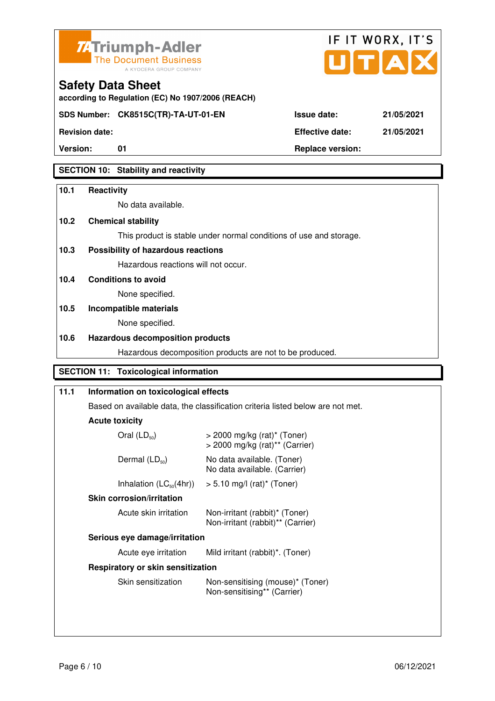



**Revision date: Effective date: 21/05/2021** 

**Version:** 01 **Replace version:** 

### **SECTION 10: Stability and reactivity**

### **10.1 Reactivity**

No data available.

**according to Regulation (EC) No 1907/2006 (REACH)**

### **10.2 Chemical stability**

This product is stable under normal conditions of use and storage.

### **10.3 Possibility of hazardous reactions**

Hazardous reactions will not occur.

**10.4 Conditions to avoid** 

None specified.

### **10.5 Incompatible materials**

None specified.

### **10.6 Hazardous decomposition products**

Hazardous decomposition products are not to be produced.

### **SECTION 11: Toxicological information**

| 11.1 | Information on toxicological effects                                           |                                                                             |  |
|------|--------------------------------------------------------------------------------|-----------------------------------------------------------------------------|--|
|      | Based on available data, the classification criteria listed below are not met. |                                                                             |  |
|      | <b>Acute toxicity</b>                                                          |                                                                             |  |
|      | Oral $(LD_{50})$                                                               | $>$ 2000 mg/kg (rat) <sup>*</sup> (Toner)<br>> 2000 mg/kg (rat)** (Carrier) |  |
|      | Dermal $(LD_{50})$                                                             | No data available. (Toner)<br>No data available. (Carrier)                  |  |
|      | Inhalation $(LC_{50}(4hr))$                                                    | $>$ 5.10 mg/l (rat)* (Toner)                                                |  |
|      | <b>Skin corrosion/irritation</b>                                               |                                                                             |  |
|      | Acute skin irritation                                                          | Non-irritant (rabbit)* (Toner)<br>Non-irritant (rabbit)** (Carrier)         |  |
|      | Serious eye damage/irritation                                                  |                                                                             |  |
|      | Acute eye irritation                                                           | Mild irritant (rabbit)*. (Toner)                                            |  |
|      | Respiratory or skin sensitization                                              |                                                                             |  |
|      | Skin sensitization                                                             | Non-sensitising (mouse)* (Toner)<br>Non-sensitising** (Carrier)             |  |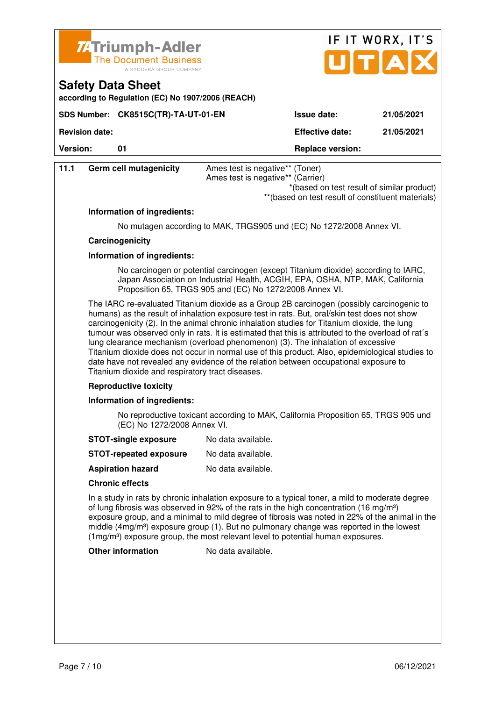

**SDS Number: CK8515C(TR)-TA-UT-01-EN** 

**according to Regulation (EC) No 1907/2006 (REACH)**

**Safety Data Sheet** 

|             | IF IT WORX, IT'S<br>JITIAI |  |
|-------------|----------------------------|--|
| Issue date: | 21/05/2021                 |  |

**Revision date: Effective date: 21/05/2021** 

| <b>Version:</b> | 01                                                                                                                | <b>Replace version:</b>                                                                                                                                                                                                                                                                                                                                                                                                                                                                                                                                                                                                                                                                                                           |  |  |  |  |
|-----------------|-------------------------------------------------------------------------------------------------------------------|-----------------------------------------------------------------------------------------------------------------------------------------------------------------------------------------------------------------------------------------------------------------------------------------------------------------------------------------------------------------------------------------------------------------------------------------------------------------------------------------------------------------------------------------------------------------------------------------------------------------------------------------------------------------------------------------------------------------------------------|--|--|--|--|
| 11.1            | Germ cell mutagenicity                                                                                            | Ames test is negative** (Toner)<br>Ames test is negative** (Carrier)<br>*(based on test result of similar product)<br>** (based on test result of constituent materials)                                                                                                                                                                                                                                                                                                                                                                                                                                                                                                                                                          |  |  |  |  |
|                 | Information of ingredients:                                                                                       |                                                                                                                                                                                                                                                                                                                                                                                                                                                                                                                                                                                                                                                                                                                                   |  |  |  |  |
|                 |                                                                                                                   | No mutagen according to MAK, TRGS905 und (EC) No 1272/2008 Annex VI.                                                                                                                                                                                                                                                                                                                                                                                                                                                                                                                                                                                                                                                              |  |  |  |  |
|                 | Carcinogenicity                                                                                                   |                                                                                                                                                                                                                                                                                                                                                                                                                                                                                                                                                                                                                                                                                                                                   |  |  |  |  |
|                 | Information of ingredients:                                                                                       |                                                                                                                                                                                                                                                                                                                                                                                                                                                                                                                                                                                                                                                                                                                                   |  |  |  |  |
|                 |                                                                                                                   | No carcinogen or potential carcinogen (except Titanium dioxide) according to IARC,<br>Japan Association on Industrial Health, ACGIH, EPA, OSHA, NTP, MAK, California<br>Proposition 65, TRGS 905 and (EC) No 1272/2008 Annex VI.                                                                                                                                                                                                                                                                                                                                                                                                                                                                                                  |  |  |  |  |
|                 |                                                                                                                   | The IARC re-evaluated Titanium dioxide as a Group 2B carcinogen (possibly carcinogenic to<br>humans) as the result of inhalation exposure test in rats. But, oral/skin test does not show<br>carcinogenicity (2). In the animal chronic inhalation studies for Titanium dioxide, the lung<br>tumour was observed only in rats. It is estimated that this is attributed to the overload of rat's<br>lung clearance mechanism (overload phenomenon) (3). The inhalation of excessive<br>Titanium dioxide does not occur in normal use of this product. Also, epidemiological studies to<br>date have not revealed any evidence of the relation between occupational exposure to<br>Titanium dioxide and respiratory tract diseases. |  |  |  |  |
|                 | <b>Reproductive toxicity</b>                                                                                      |                                                                                                                                                                                                                                                                                                                                                                                                                                                                                                                                                                                                                                                                                                                                   |  |  |  |  |
|                 | Information of ingredients:                                                                                       |                                                                                                                                                                                                                                                                                                                                                                                                                                                                                                                                                                                                                                                                                                                                   |  |  |  |  |
|                 | No reproductive toxicant according to MAK, California Proposition 65, TRGS 905 und<br>(EC) No 1272/2008 Annex VI. |                                                                                                                                                                                                                                                                                                                                                                                                                                                                                                                                                                                                                                                                                                                                   |  |  |  |  |
|                 | <b>STOT-single exposure</b>                                                                                       | No data available.                                                                                                                                                                                                                                                                                                                                                                                                                                                                                                                                                                                                                                                                                                                |  |  |  |  |
|                 | <b>STOT-repeated exposure</b>                                                                                     | No data available.                                                                                                                                                                                                                                                                                                                                                                                                                                                                                                                                                                                                                                                                                                                |  |  |  |  |
|                 | <b>Aspiration hazard</b>                                                                                          | No data available.                                                                                                                                                                                                                                                                                                                                                                                                                                                                                                                                                                                                                                                                                                                |  |  |  |  |
|                 | <b>Chronic effects</b>                                                                                            |                                                                                                                                                                                                                                                                                                                                                                                                                                                                                                                                                                                                                                                                                                                                   |  |  |  |  |
|                 |                                                                                                                   | In a study in rats by chronic inhalation exposure to a typical toner, a mild to moderate degree<br>of lung fibrosis was observed in 92% of the rats in the high concentration (16 mg/m <sup>3</sup> )<br>exposure group, and a minimal to mild degree of fibrosis was noted in 22% of the animal in the<br>middle $(4mg/m3)$ exposure group (1). But no pulmonary change was reported in the lowest                                                                                                                                                                                                                                                                                                                               |  |  |  |  |

(1mg/m³) exposure group, the most relevant level to potential human exposures.

**Other information** No data available.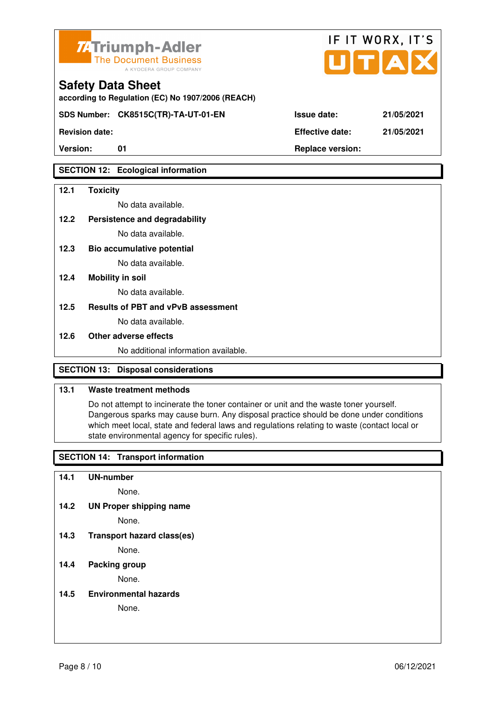

**according to Regulation (EC) No 1907/2006 (REACH)**

**SDS Number: CK8515C(TR)-TA-UT-01-EN Issue date: 21/05/2021** 

**Revision date: Effective date: 21/05/2021** 

### **SECTION 12: Ecological information**

### **12.1 Toxicity**

No data available.

**12.2 Persistence and degradability** 

No data available.

**12.3 Bio accumulative potential** 

No data available.

### **12.4 Mobility in soil**

No data available.

### **12.5 Results of PBT and vPvB assessment**

No data available.

### **12.6 Other adverse effects**

No additional information available.

### **SECTION 13: Disposal considerations**

### **13.1 Waste treatment methods**

 Do not attempt to incinerate the toner container or unit and the waste toner yourself. Dangerous sparks may cause burn. Any disposal practice should be done under conditions which meet local, state and federal laws and regulations relating to waste (contact local or state environmental agency for specific rules).

### **SECTION 14: Transport information**

**14.1 UN-number** 

None.

**14.2 UN Proper shipping name** 

None.

**14.3 Transport hazard class(es)** 

None.

#### **14.4 Packing group**

None.

**14.5 Environmental hazards** 

None.

|  | юr |  |  | <b>SDECIII</b> |  |
|--|----|--|--|----------------|--|
|  |    |  |  |                |  |

IF IT WORX, IT'S

Version: 01 01 **Replace version: Replace version:**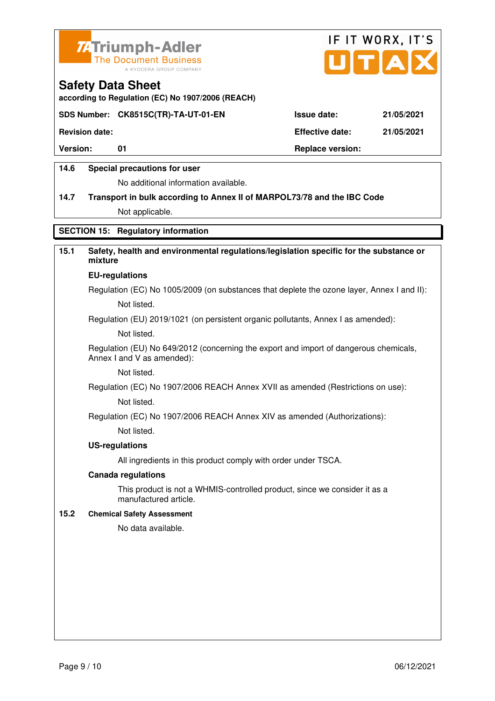



**according to Regulation (EC) No 1907/2006 (REACH)**

### **SDS Number: CK8515C(TR)-TA-UT-01-EN Issue date: 21/05/2021**

**Revision date: Effective date: 21/05/2021** 

Version: 01 01 **Replace version: Replace version:** 

### **14.6 Special precautions for user**

No additional information available.

# **14.7 Transport in bulk according to Annex II of MARPOL73/78 and the IBC Code**

Not applicable.

### **SECTION 15: Regulatory information**

### **15.1 Safety, health and environmental regulations/legislation specific for the substance or mixture**

#### **EU-regulations**

Regulation (EC) No 1005/2009 (on substances that deplete the ozone layer, Annex I and II): Not listed.

Regulation (EU) 2019/1021 (on persistent organic pollutants, Annex I as amended):

Not listed.

 Regulation (EU) No 649/2012 (concerning the export and import of dangerous chemicals, Annex I and V as amended):

Not listed.

 Regulation (EC) No 1907/2006 REACH Annex XVII as amended (Restrictions on use): Not listed.

Regulation (EC) No 1907/2006 REACH Annex XIV as amended (Authorizations):

Not listed.

#### **US-regulations**

All ingredients in this product comply with order under TSCA.

#### **Canada regulations**

 This product is not a WHMIS-controlled product, since we consider it as a manufactured article.

#### **15.2 Chemical Safety Assessment**

No data available.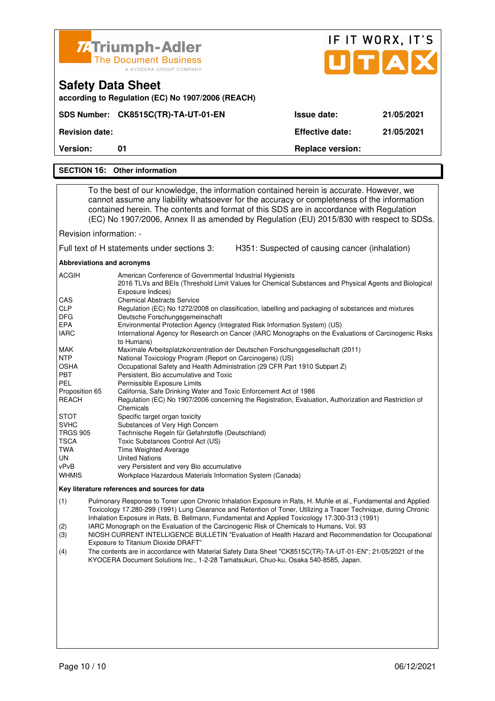|                                                                                                                                                                                                                                           | <b>74 Triumph-Adler</b>                                                                                                                                                                                                                                                                                                                                                                                                                                                                                                                                                                                                                                                                                                                                                                                                                                                                                                                                                                                                                                                                                                                                                                                                                                                                                                                                                                              |                                                | IF IT WORX, IT'S |
|-------------------------------------------------------------------------------------------------------------------------------------------------------------------------------------------------------------------------------------------|------------------------------------------------------------------------------------------------------------------------------------------------------------------------------------------------------------------------------------------------------------------------------------------------------------------------------------------------------------------------------------------------------------------------------------------------------------------------------------------------------------------------------------------------------------------------------------------------------------------------------------------------------------------------------------------------------------------------------------------------------------------------------------------------------------------------------------------------------------------------------------------------------------------------------------------------------------------------------------------------------------------------------------------------------------------------------------------------------------------------------------------------------------------------------------------------------------------------------------------------------------------------------------------------------------------------------------------------------------------------------------------------------|------------------------------------------------|------------------|
|                                                                                                                                                                                                                                           | <b>The Document Business</b><br>A KYOCERA GROUP COMPANY                                                                                                                                                                                                                                                                                                                                                                                                                                                                                                                                                                                                                                                                                                                                                                                                                                                                                                                                                                                                                                                                                                                                                                                                                                                                                                                                              |                                                | UTAD             |
|                                                                                                                                                                                                                                           | <b>Safety Data Sheet</b><br>according to Regulation (EC) No 1907/2006 (REACH)                                                                                                                                                                                                                                                                                                                                                                                                                                                                                                                                                                                                                                                                                                                                                                                                                                                                                                                                                                                                                                                                                                                                                                                                                                                                                                                        |                                                |                  |
|                                                                                                                                                                                                                                           | SDS Number: CK8515C(TR)-TA-UT-01-EN                                                                                                                                                                                                                                                                                                                                                                                                                                                                                                                                                                                                                                                                                                                                                                                                                                                                                                                                                                                                                                                                                                                                                                                                                                                                                                                                                                  | <b>Issue date:</b>                             | 21/05/2021       |
| <b>Revision date:</b>                                                                                                                                                                                                                     |                                                                                                                                                                                                                                                                                                                                                                                                                                                                                                                                                                                                                                                                                                                                                                                                                                                                                                                                                                                                                                                                                                                                                                                                                                                                                                                                                                                                      | <b>Effective date:</b>                         | 21/05/2021       |
| Version:                                                                                                                                                                                                                                  | 01                                                                                                                                                                                                                                                                                                                                                                                                                                                                                                                                                                                                                                                                                                                                                                                                                                                                                                                                                                                                                                                                                                                                                                                                                                                                                                                                                                                                   | <b>Replace version:</b>                        |                  |
|                                                                                                                                                                                                                                           | <b>SECTION 16: Other information</b>                                                                                                                                                                                                                                                                                                                                                                                                                                                                                                                                                                                                                                                                                                                                                                                                                                                                                                                                                                                                                                                                                                                                                                                                                                                                                                                                                                 |                                                |                  |
|                                                                                                                                                                                                                                           |                                                                                                                                                                                                                                                                                                                                                                                                                                                                                                                                                                                                                                                                                                                                                                                                                                                                                                                                                                                                                                                                                                                                                                                                                                                                                                                                                                                                      |                                                |                  |
|                                                                                                                                                                                                                                           | To the best of our knowledge, the information contained herein is accurate. However, we<br>cannot assume any liability whatsoever for the accuracy or completeness of the information<br>contained herein. The contents and format of this SDS are in accordance with Regulation<br>(EC) No 1907/2006, Annex II as amended by Regulation (EU) 2015/830 with respect to SDSs.                                                                                                                                                                                                                                                                                                                                                                                                                                                                                                                                                                                                                                                                                                                                                                                                                                                                                                                                                                                                                         |                                                |                  |
| Revision information: -                                                                                                                                                                                                                   |                                                                                                                                                                                                                                                                                                                                                                                                                                                                                                                                                                                                                                                                                                                                                                                                                                                                                                                                                                                                                                                                                                                                                                                                                                                                                                                                                                                                      |                                                |                  |
|                                                                                                                                                                                                                                           | Full text of H statements under sections 3:                                                                                                                                                                                                                                                                                                                                                                                                                                                                                                                                                                                                                                                                                                                                                                                                                                                                                                                                                                                                                                                                                                                                                                                                                                                                                                                                                          | H351: Suspected of causing cancer (inhalation) |                  |
| Abbreviations and acronyms                                                                                                                                                                                                                |                                                                                                                                                                                                                                                                                                                                                                                                                                                                                                                                                                                                                                                                                                                                                                                                                                                                                                                                                                                                                                                                                                                                                                                                                                                                                                                                                                                                      |                                                |                  |
| ACGIH<br>CAS<br><b>CLP</b><br><b>DFG</b><br>EPA<br><b>IARC</b><br>MAK<br><b>NTP</b><br>OSHA<br>PBT<br><b>PEL</b><br>Proposition 65<br>REACH<br><b>STOT</b><br><b>SVHC</b><br><b>TRGS 905</b><br>TSCA<br><b>TWA</b><br>UN<br>vPvB<br>WHMIS | American Conference of Governmental Industrial Hygienists<br>2016 TLVs and BEIs (Threshold Limit Values for Chemical Substances and Physical Agents and Biological<br>Exposure Indices)<br><b>Chemical Abstracts Service</b><br>Regulation (EC) No 1272/2008 on classification, labelling and packaging of substances and mixtures<br>Deutsche Forschungsgemeinschaft<br>Environmental Protection Agency (Integrated Risk Information System) (US)<br>International Agency for Research on Cancer (IARC Monographs on the Evaluations of Carcinogenic Risks<br>to Humans)<br>Maximale Arbeitsplatzkonzentration der Deutschen Forschungsgesellschaft (2011)<br>National Toxicology Program (Report on Carcinogens) (US)<br>Occupational Safety and Health Administration (29 CFR Part 1910 Subpart Z)<br>Persistent, Bio accumulative and Toxic<br>Permissible Exposure Limits<br>California, Safe Drinking Water and Toxic Enforcement Act of 1986<br>Regulation (EC) No 1907/2006 concerning the Registration, Evaluation, Authorization and Restriction of<br>Chemicals<br>Specific target organ toxicity<br>Substances of Very High Concern<br>Technische Regeln für Gefahrstoffe (Deutschland)<br>Toxic Substances Control Act (US)<br>Time Weighted Average<br><b>United Nations</b><br>very Persistent and very Bio accumulative<br>Workplace Hazardous Materials Information System (Canada) |                                                |                  |
|                                                                                                                                                                                                                                           | Key literature references and sources for data                                                                                                                                                                                                                                                                                                                                                                                                                                                                                                                                                                                                                                                                                                                                                                                                                                                                                                                                                                                                                                                                                                                                                                                                                                                                                                                                                       |                                                |                  |
| (1)<br>(2)                                                                                                                                                                                                                                | Pulmonary Response to Toner upon Chronic Inhalation Exposure in Rats, H. Muhle et al., Fundamental and Applied<br>Toxicology 17.280-299 (1991) Lung Clearance and Retention of Toner, Utilizing a Tracer Technique, during Chronic<br>Inhalation Exposure in Rats, B. Bellmann, Fundamental and Applied Toxicology 17.300-313 (1991)<br>IARC Monograph on the Evaluation of the Carcinogenic Risk of Chemicals to Humans, Vol. 93                                                                                                                                                                                                                                                                                                                                                                                                                                                                                                                                                                                                                                                                                                                                                                                                                                                                                                                                                                    |                                                |                  |

- (3) NIOSH CURRENT INTELLIGENCE BULLETIN "Evaluation of Health Hazard and Recommendation for Occupational Exposure to Titanium Dioxide DRAFT"<br>(4) The contents are in accordance with M
- (4) The contents are in accordance with Material Safety Data Sheet "CK8515C(TR)-TA-UT-01-EN"; 21/05/2021 of the KYOCERA Document Solutions Inc., 1-2-28 Tamatsukuri, Chuo-ku, Osaka 540-8585, Japan.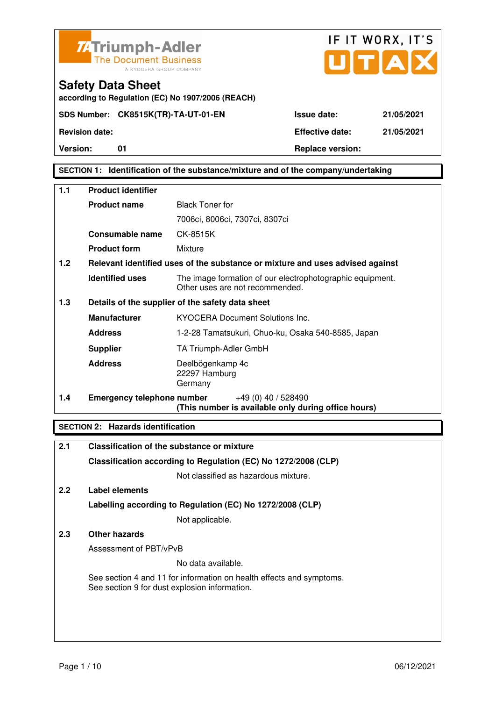



**Safety Data Sheet according to Regulation (EC) No 1907/2006 (REACH)**

**Version:** 01 **Replace version:** 

### **SECTION 1: Identification of the substance/mixture and of the company/undertaking**

| 1.1 | <b>Product identifier</b>         |                                                                                              |  |  |
|-----|-----------------------------------|----------------------------------------------------------------------------------------------|--|--|
|     | <b>Product name</b>               | <b>Black Toner for</b>                                                                       |  |  |
|     |                                   | 7006ci, 8006ci, 7307ci, 8307ci                                                               |  |  |
|     | <b>Consumable name</b>            | CK-8515K                                                                                     |  |  |
|     | <b>Product form</b>               | Mixture                                                                                      |  |  |
| 1.2 |                                   | Relevant identified uses of the substance or mixture and uses advised against                |  |  |
|     | <b>Identified uses</b>            | The image formation of our electrophotographic equipment.<br>Other uses are not recommended. |  |  |
| 1.3 |                                   | Details of the supplier of the safety data sheet                                             |  |  |
|     | <b>Manufacturer</b>               | <b>KYOCERA Document Solutions Inc.</b>                                                       |  |  |
|     | <b>Address</b>                    | 1-2-28 Tamatsukuri, Chuo-ku, Osaka 540-8585, Japan                                           |  |  |
|     | <b>Supplier</b>                   | TA Triumph-Adler GmbH                                                                        |  |  |
|     | <b>Address</b>                    | Deelbögenkamp 4c<br>22297 Hamburg<br>Germany                                                 |  |  |
| 1.4 | <b>Emergency telephone number</b> | $+49(0)$ 40 / 528490<br>(This number is available only during office hours)                  |  |  |

### **SECTION 2: Hazards identification**

| 2.1 | Classification of the substance or mixture                                                                            |
|-----|-----------------------------------------------------------------------------------------------------------------------|
|     | Classification according to Regulation (EC) No 1272/2008 (CLP)                                                        |
|     | Not classified as hazardous mixture.                                                                                  |
| 2.2 | Label elements                                                                                                        |
|     | Labelling according to Regulation (EC) No 1272/2008 (CLP)                                                             |
|     | Not applicable.                                                                                                       |
| 2.3 | Other hazards                                                                                                         |
|     | Assessment of PBT/vPvB                                                                                                |
|     | No data available.                                                                                                    |
|     | See section 4 and 11 for information on health effects and symptoms.<br>See section 9 for dust explosion information. |
|     |                                                                                                                       |
|     |                                                                                                                       |
|     |                                                                                                                       |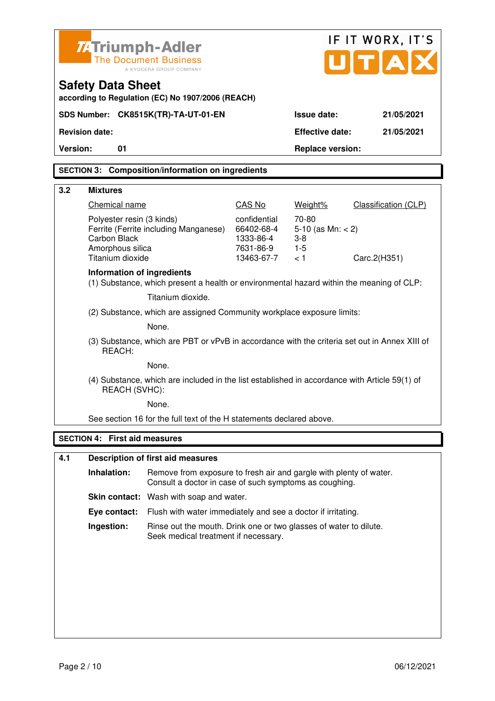|                   | Z-Triumph-Adler                                                                                                                                                                                                   | <b>The Document Business</b><br>A KYOCERA GROUP COMPANY                                                                      |        | IF IT WORX, IT'S<br>U[T A]                                        |                                             |  |  |  |
|-------------------|-------------------------------------------------------------------------------------------------------------------------------------------------------------------------------------------------------------------|------------------------------------------------------------------------------------------------------------------------------|--------|-------------------------------------------------------------------|---------------------------------------------|--|--|--|
|                   | <b>Safety Data Sheet</b><br>according to Regulation (EC) No 1907/2006 (REACH)                                                                                                                                     |                                                                                                                              |        |                                                                   |                                             |  |  |  |
|                   |                                                                                                                                                                                                                   | SDS Number: CK8515K(TR)-TA-UT-01-EN                                                                                          |        | <b>Issue date:</b>                                                | 21/05/2021                                  |  |  |  |
|                   | <b>Revision date:</b>                                                                                                                                                                                             |                                                                                                                              |        | <b>Effective date:</b>                                            | 21/05/2021                                  |  |  |  |
| <b>Version:</b>   | 01                                                                                                                                                                                                                |                                                                                                                              |        | <b>Replace version:</b>                                           |                                             |  |  |  |
|                   |                                                                                                                                                                                                                   | <b>SECTION 3: Composition/information on ingredients</b>                                                                     |        |                                                                   |                                             |  |  |  |
|                   |                                                                                                                                                                                                                   |                                                                                                                              |        |                                                                   |                                             |  |  |  |
| 3.2               | <b>Mixtures</b>                                                                                                                                                                                                   |                                                                                                                              | CAS No |                                                                   |                                             |  |  |  |
|                   | Chemical name<br>confidential<br>Polyester resin (3 kinds)<br>Ferrite (Ferrite including Manganese)<br>66402-68-4<br>Carbon Black<br>1333-86-4<br>Amorphous silica<br>7631-86-9<br>Titanium dioxide<br>13463-67-7 |                                                                                                                              |        | Weight%<br>70-80<br>5-10 (as $Mn: < 2$ )<br>$3-8$<br>$1-5$<br>< 1 | <b>Classification (CLP)</b><br>Carc.2(H351) |  |  |  |
|                   | Information of ingredients                                                                                                                                                                                        | (1) Substance, which present a health or environmental hazard within the meaning of CLP:                                     |        |                                                                   |                                             |  |  |  |
|                   |                                                                                                                                                                                                                   | Titanium dioxide.                                                                                                            |        |                                                                   |                                             |  |  |  |
|                   |                                                                                                                                                                                                                   | (2) Substance, which are assigned Community workplace exposure limits:                                                       |        |                                                                   |                                             |  |  |  |
|                   |                                                                                                                                                                                                                   | None.                                                                                                                        |        |                                                                   |                                             |  |  |  |
|                   | REACH:                                                                                                                                                                                                            | (3) Substance, which are PBT or vPvB in accordance with the criteria set out in Annex XIII of                                |        |                                                                   |                                             |  |  |  |
|                   |                                                                                                                                                                                                                   | None.                                                                                                                        |        |                                                                   |                                             |  |  |  |
|                   | REACH (SVHC):                                                                                                                                                                                                     | (4) Substance, which are included in the list established in accordance with Article 59(1) of                                |        |                                                                   |                                             |  |  |  |
|                   |                                                                                                                                                                                                                   | None.                                                                                                                        |        |                                                                   |                                             |  |  |  |
|                   |                                                                                                                                                                                                                   | See section 16 for the full text of the H statements declared above.                                                         |        |                                                                   |                                             |  |  |  |
| <b>SECTION 4:</b> |                                                                                                                                                                                                                   | <b>First aid measures</b>                                                                                                    |        |                                                                   |                                             |  |  |  |
| 4.1               |                                                                                                                                                                                                                   | <b>Description of first aid measures</b>                                                                                     |        |                                                                   |                                             |  |  |  |
|                   | Inhalation:                                                                                                                                                                                                       | Remove from exposure to fresh air and gargle with plenty of water.<br>Consult a doctor in case of such symptoms as coughing. |        |                                                                   |                                             |  |  |  |
|                   |                                                                                                                                                                                                                   | <b>Skin contact:</b> Wash with soap and water.                                                                               |        |                                                                   |                                             |  |  |  |
|                   | Eye contact:                                                                                                                                                                                                      | Flush with water immediately and see a doctor if irritating.                                                                 |        |                                                                   |                                             |  |  |  |
|                   | Ingestion:                                                                                                                                                                                                        | Rinse out the mouth. Drink one or two glasses of water to dilute.<br>Seek medical treatment if necessary.                    |        |                                                                   |                                             |  |  |  |
|                   |                                                                                                                                                                                                                   |                                                                                                                              |        |                                                                   |                                             |  |  |  |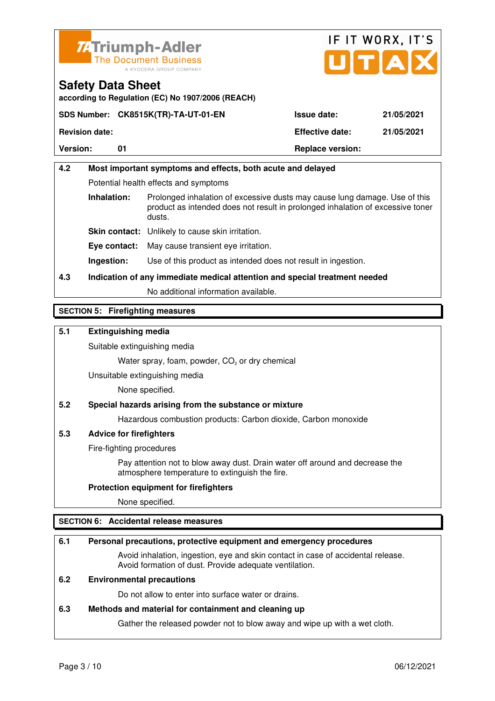



**according to Regulation (EC) No 1907/2006 (REACH)**

| <b>Version:</b>       |                                     | <b>Replace version:</b> |            |
|-----------------------|-------------------------------------|-------------------------|------------|
| <b>Revision date:</b> |                                     | <b>Effective date:</b>  | 21/05/2021 |
|                       | SDS Number: CK8515K(TR)-TA-UT-01-EN | <b>Issue date:</b>      | 21/05/2021 |

# **4.2 Most important symptoms and effects, both acute and delayed**  Potential health effects and symptoms **Inhalation:** Prolonged inhalation of excessive dusts may cause lung damage. Use of this product as intended does not result in prolonged inhalation of excessive toner dusts. **Skin contact:** Unlikely to cause skin irritation. **Eye contact:** May cause transient eye irritation.

**Ingestion:** Use of this product as intended does not result in ingestion.

# **4.3 Indication of any immediate medical attention and special treatment needed**

No additional information available.

### **SECTION 5: Firefighting measures**

### **5.1 Extinguishing media**

Suitable extinguishing media

Water spray, foam, powder,  $CO<sub>2</sub>$  or dry chemical

Unsuitable extinguishing media

None specified.

### **5.2 Special hazards arising from the substance or mixture**

Hazardous combustion products: Carbon dioxide, Carbon monoxide

### **5.3 Advice for firefighters**

Fire-fighting procedures

 Pay attention not to blow away dust. Drain water off around and decrease the atmosphere temperature to extinguish the fire.

### **Protection equipment for firefighters**

None specified.

### **SECTION 6: Accidental release measures**

### **6.1 Personal precautions, protective equipment and emergency procedures**

 Avoid inhalation, ingestion, eye and skin contact in case of accidental release. Avoid formation of dust. Provide adequate ventilation.

### **6.2 Environmental precautions**

Do not allow to enter into surface water or drains.

#### **6.3 Methods and material for containment and cleaning up**

Gather the released powder not to blow away and wipe up with a wet cloth.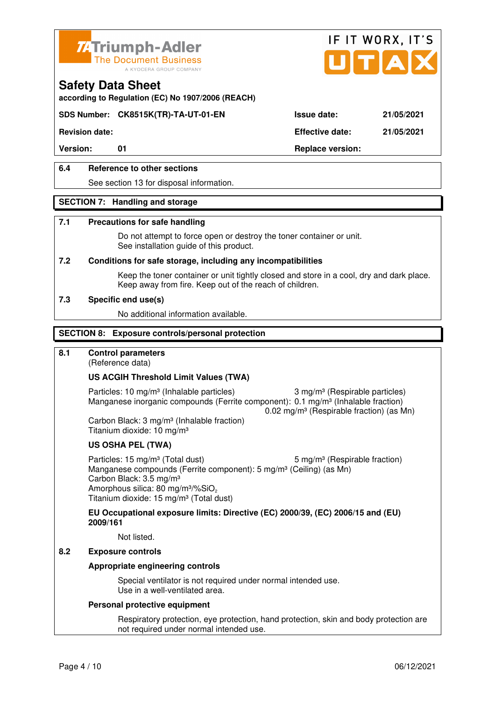



**according to Regulation (EC) No 1907/2006 (REACH)**

### **SDS Number: CK8515K(TR)-TA-UT-01-EN Issue date: 21/05/2021**

**Revision date: Effective date: 21/05/2021** 

### **6.4 Reference to other sections**

See section 13 for disposal information.

#### **SECTION 7: Handling and storage**

#### **7.1 Precautions for safe handling**

 Do not attempt to force open or destroy the toner container or unit. See installation guide of this product.

#### **7.2 Conditions for safe storage, including any incompatibilities**

Keep the toner container or unit tightly closed and store in a cool, dry and dark place. Keep away from fire. Keep out of the reach of children.

#### **7.3 Specific end use(s)**

No additional information available.

#### **SECTION 8: Exposure controls/personal protection**

### **8.1 Control parameters**

(Reference data)

#### **US ACGIH Threshold Limit Values (TWA)**

Particles: 10 mg/m<sup>3</sup> (Inhalable particles) 3 mg/m<sup>3</sup> (Respirable particles) Manganese inorganic compounds (Ferrite component): 0.1 mg/m<sup>3</sup> (Inhalable fraction) 0.02 mg/m³ (Respirable fraction) (as Mn)

 Carbon Black: 3 mg/m³ (Inhalable fraction) Titanium dioxide: 10 mg/m³

#### **US OSHA PEL (TWA)**

Particles: 15 mg/m<sup>3</sup> (Total dust) 5 mg/m<sup>3</sup> (Respirable fraction) Manganese compounds (Ferrite component): 5 mg/m<sup>3</sup> (Ceiling) (as Mn) Carbon Black: 3.5 mg/m³ Amorphous silica: 80 mg/m<sup>3</sup>/%SiO<sub>2</sub> Titanium dioxide: 15 mg/m³ (Total dust)

**EU Occupational exposure limits: Directive (EC) 2000/39, (EC) 2006/15 and (EU) 2009/161**

Not listed.

### **8.2 Exposure controls**

#### **Appropriate engineering controls**

 Special ventilator is not required under normal intended use. Use in a well-ventilated area.

#### **Personal protective equipment**

 Respiratory protection, eye protection, hand protection, skin and body protection are not required under normal intended use.

Version: 01 01 **Replace version:**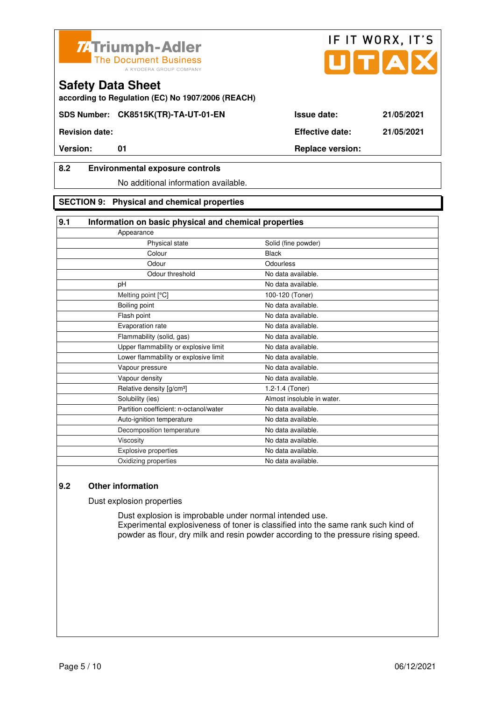



**according to Regulation (EC) No 1907/2006 (REACH)**

**SDS Number: CK8515K(TR)-TA-UT-01-EN Issue date: 21/05/2021** 

**Revision date: Effective date: 21/05/2021** 

### **8.2 Environmental exposure controls**

No additional information available.

### **SECTION 9: Physical and chemical properties**

#### **9.1 Information on basic physical and chemical properties**

| Appearance                             |                            |
|----------------------------------------|----------------------------|
| Physical state                         | Solid (fine powder)        |
| Colour                                 | <b>Black</b>               |
| Odour                                  | Odourless                  |
| Odour threshold                        | No data available.         |
| pH                                     | No data available.         |
| Melting point [°C]                     | 100-120 (Toner)            |
| Boiling point                          | No data available.         |
| Flash point                            | No data available.         |
| Evaporation rate                       | No data available.         |
| Flammability (solid, gas)              | No data available.         |
| Upper flammability or explosive limit  | No data available.         |
| Lower flammability or explosive limit  | No data available.         |
| Vapour pressure                        | No data available.         |
| Vapour density                         | No data available.         |
| Relative density [g/cm <sup>3</sup> ]  | 1.2-1.4 (Toner)            |
| Solubility (ies)                       | Almost insoluble in water. |
| Partition coefficient: n-octanol/water | No data available.         |
| Auto-ignition temperature              | No data available.         |
| Decomposition temperature              | No data available.         |
| Viscosity                              | No data available.         |
| Explosive properties                   | No data available.         |
| Oxidizing properties                   | No data available.         |
|                                        |                            |

### **9.2 Other information**

Dust explosion properties

 Dust explosion is improbable under normal intended use. Experimental explosiveness of toner is classified into the same rank such kind of powder as flour, dry milk and resin powder according to the pressure rising speed.

IF IT WORX, IT'S

**Version:** 01 01 Replace version: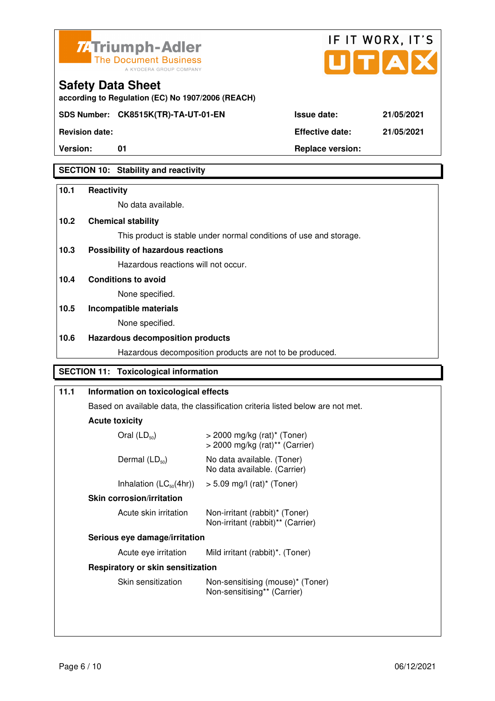



**Version:** 01 **Replace version:** 

**Revision date: Effective date: 21/05/2021** 

### **SECTION 10: Stability and reactivity**

#### **10.1 Reactivity**

No data available.

**according to Regulation (EC) No 1907/2006 (REACH)**

### **10.2 Chemical stability**

**Safety Data Sheet** 

This product is stable under normal conditions of use and storage.

### **10.3 Possibility of hazardous reactions**

Hazardous reactions will not occur.

**10.4 Conditions to avoid** 

None specified.

### **10.5 Incompatible materials**

None specified.

### **10.6 Hazardous decomposition products**

Hazardous decomposition products are not to be produced.

### **SECTION 11: Toxicological information**

| 11.1 | Information on toxicological effects<br>Based on available data, the classification criteria listed below are not met. |                                                                                           |  |  |  |
|------|------------------------------------------------------------------------------------------------------------------------|-------------------------------------------------------------------------------------------|--|--|--|
|      |                                                                                                                        |                                                                                           |  |  |  |
|      | <b>Acute toxicity</b>                                                                                                  |                                                                                           |  |  |  |
|      | Oral $(LD_{50})$                                                                                                       | $>$ 2000 mg/kg (rat) <sup>*</sup> (Toner)<br>$>$ 2000 mg/kg (rat) <sup>**</sup> (Carrier) |  |  |  |
|      | Dermal $(LD_{50})$<br>No data available. (Toner)<br>No data available. (Carrier)                                       |                                                                                           |  |  |  |
|      | Inhalation $(LC_{50}(4hr))$                                                                                            | $> 5.09$ mg/l (rat) <sup>*</sup> (Toner)                                                  |  |  |  |
|      | <b>Skin corrosion/irritation</b>                                                                                       |                                                                                           |  |  |  |
|      | Acute skin irritation                                                                                                  | Non-irritant (rabbit)* (Toner)<br>Non-irritant (rabbit)** (Carrier)                       |  |  |  |
|      | Serious eye damage/irritation                                                                                          |                                                                                           |  |  |  |
|      | Acute eye irritation                                                                                                   | Mild irritant (rabbit)*. (Toner)                                                          |  |  |  |
|      | Respiratory or skin sensitization                                                                                      |                                                                                           |  |  |  |
|      | Skin sensitization<br>Non-sensitising (mouse)* (Toner)<br>Non-sensitising** (Carrier)                                  |                                                                                           |  |  |  |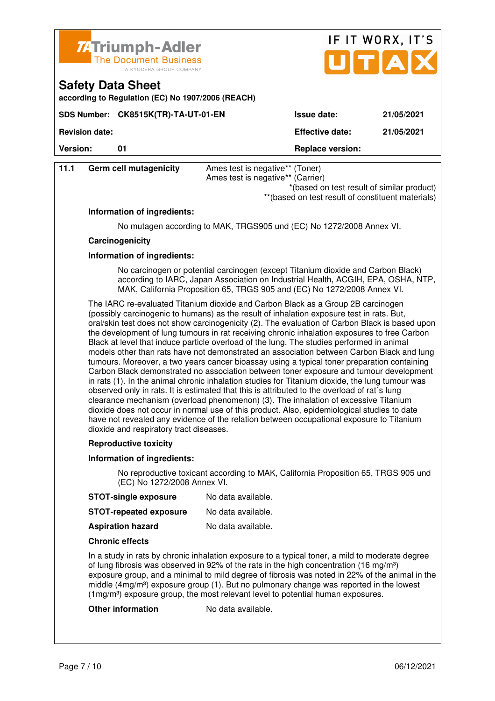

| 7. Triumph-Adler<br>The Document Business<br>A KYOCERA GROUP COMPANY          |                        | IF IT WORX, IT'S<br>UTAX |
|-------------------------------------------------------------------------------|------------------------|--------------------------|
| <b>Safety Data Sheet</b><br>according to Regulation (EC) No 1907/2006 (REACH) |                        |                          |
| SDS Number: CK8515K(TR)-TA-UT-01-EN                                           | <b>Issue date:</b>     | 21/05/2021               |
| <b>Revision date:</b>                                                         | <b>Effective date:</b> | 21/05/2021               |

**Version:** 01 **Depending to 201 Replace version:** 

| 11.1 | Germ cell mutagenicity | Ames test is negative** (Toner)<br>Ames test is negative** (Carrier)                            |  |  |
|------|------------------------|-------------------------------------------------------------------------------------------------|--|--|
|      |                        | *(based on test result of similar product)<br>**(based on test result of constituent materials) |  |  |

#### **Information of ingredients:**

No mutagen according to MAK, TRGS905 und (EC) No 1272/2008 Annex VI.

#### **Carcinogenicity**

#### **Information of ingredients:**

 No carcinogen or potential carcinogen (except Titanium dioxide and Carbon Black) according to IARC, Japan Association on Industrial Health, ACGIH, EPA, OSHA, NTP, MAK, California Proposition 65, TRGS 905 and (EC) No 1272/2008 Annex VI.

 The IARC re-evaluated Titanium dioxide and Carbon Black as a Group 2B carcinogen (possibly carcinogenic to humans) as the result of inhalation exposure test in rats. But, oral/skin test does not show carcinogenicity (2). The evaluation of Carbon Black is based upon the development of lung tumours in rat receiving chronic inhalation exposures to free Carbon Black at level that induce particle overload of the lung. The studies performed in animal models other than rats have not demonstrated an association between Carbon Black and lung tumours. Moreover, a two years cancer bioassay using a typical toner preparation containing Carbon Black demonstrated no association between toner exposure and tumour development in rats (1). In the animal chronic inhalation studies for Titanium dioxide, the lung tumour was observed only in rats. It is estimated that this is attributed to the overload of rat´s lung clearance mechanism (overload phenomenon) (3). The inhalation of excessive Titanium dioxide does not occur in normal use of this product. Also, epidemiological studies to date have not revealed any evidence of the relation between occupational exposure to Titanium dioxide and respiratory tract diseases.

#### **Reproductive toxicity**

#### **Information of ingredients:**

 No reproductive toxicant according to MAK, California Proposition 65, TRGS 905 und (EC) No 1272/2008 Annex VI.

**STOT-single exposure** No data available.

| <b>STOT-repeated exposure</b> | No data available. |
|-------------------------------|--------------------|
|-------------------------------|--------------------|

**Aspiration hazard** No data available.

#### **Chronic effects**

 In a study in rats by chronic inhalation exposure to a typical toner, a mild to moderate degree of lung fibrosis was observed in 92% of the rats in the high concentration (16 mg/m<sup>3</sup>) exposure group, and a minimal to mild degree of fibrosis was noted in 22% of the animal in the middle  $(4mg/m<sup>3</sup>)$  exposure group (1). But no pulmonary change was reported in the lowest (1mg/m<sup>3</sup>) exposure group, the most relevant level to potential human exposures.

#### **Other information** No data available.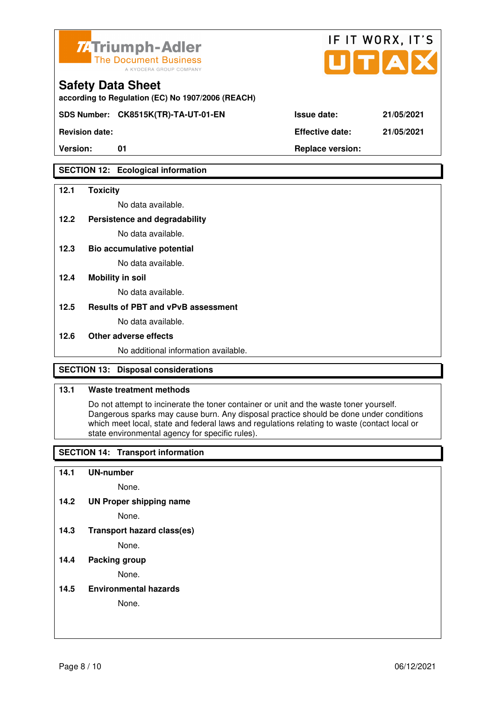

**according to Regulation (EC) No 1907/2006 (REACH)**

**SDS Number: CK8515K(TR)-TA-UT-01-EN Issue date: 21/05/2021** 

**Revision date: Effective date: 21/05/2021** 

### **SECTION 12: Ecological information**

### **12.1 Toxicity**

No data available.

**12.2 Persistence and degradability** 

No data available.

**12.3 Bio accumulative potential** 

No data available.

### **12.4 Mobility in soil**

No data available.

### **12.5 Results of PBT and vPvB assessment**

No data available.

#### **12.6 Other adverse effects**

No additional information available.

### **SECTION 13: Disposal considerations**

### **13.1 Waste treatment methods**

 Do not attempt to incinerate the toner container or unit and the waste toner yourself. Dangerous sparks may cause burn. Any disposal practice should be done under conditions which meet local, state and federal laws and regulations relating to waste (contact local or state environmental agency for specific rules).

### **SECTION 14: Transport information**

#### **14.1 UN-number**

None.

**14.2 UN Proper shipping name** 

None.

**14.3 Transport hazard class(es)** 

None.

### **14.4 Packing group**

None.

**14.5 Environmental hazards** 

None.

| ue date: |  |  |  | 21/05/20 |  |
|----------|--|--|--|----------|--|
|          |  |  |  |          |  |

IF IT WORX, IT'S

Version: 01 01 **Replace version: Replace version:**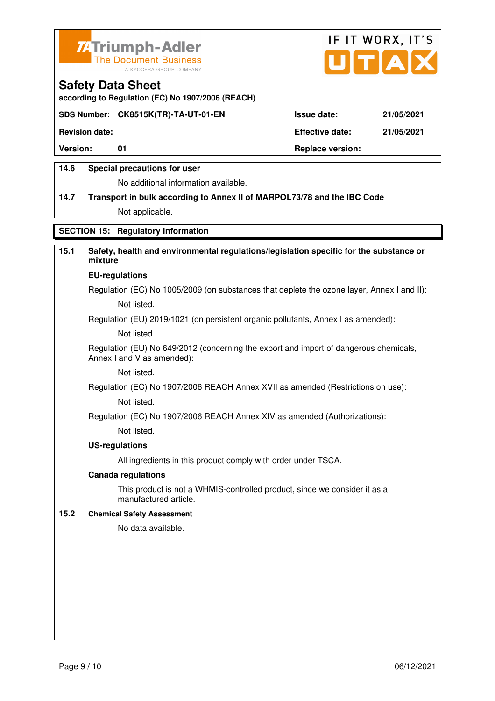



**according to Regulation (EC) No 1907/2006 (REACH)**

### **SDS Number: CK8515K(TR)-TA-UT-01-EN Issue date: 21/05/2021**

**Revision date: Effective date: 21/05/2021** 

Version: 01 01 **Replace version: Replace version:** 

### **14.6 Special precautions for user**

No additional information available.

# **14.7 Transport in bulk according to Annex II of MARPOL73/78 and the IBC Code**

Not applicable.

### **SECTION 15: Regulatory information**

### **15.1 Safety, health and environmental regulations/legislation specific for the substance or mixture**

#### **EU-regulations**

Regulation (EC) No 1005/2009 (on substances that deplete the ozone layer, Annex I and II): Not listed.

Regulation (EU) 2019/1021 (on persistent organic pollutants, Annex I as amended):

Not listed.

 Regulation (EU) No 649/2012 (concerning the export and import of dangerous chemicals, Annex I and V as amended):

Not listed.

 Regulation (EC) No 1907/2006 REACH Annex XVII as amended (Restrictions on use): Not listed.

Regulation (EC) No 1907/2006 REACH Annex XIV as amended (Authorizations):

Not listed.

#### **US-regulations**

All ingredients in this product comply with order under TSCA.

#### **Canada regulations**

 This product is not a WHMIS-controlled product, since we consider it as a manufactured article.

#### **15.2 Chemical Safety Assessment**

No data available.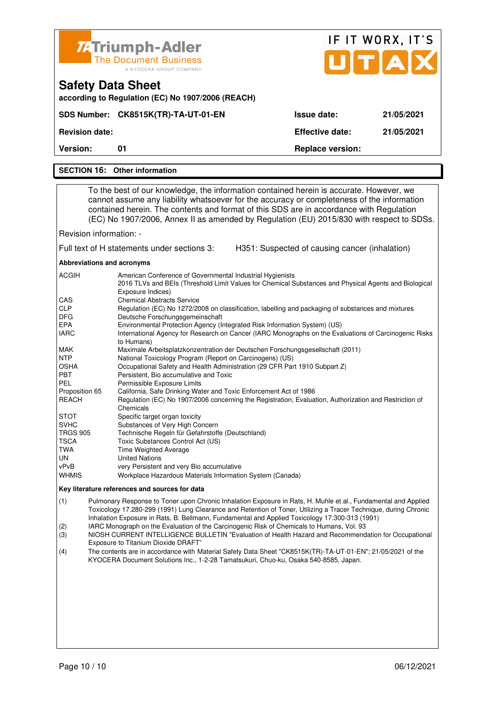|                                                                                                                                                                                                                                                  | <b>74 Triumph-Adler</b>                                                                                                                                                                                                                                                                                                                                                                                                                                                                                                                                                                                                                                                                                                                                                                                                                                                                                                                                                                                                                                                                                                                                                                                                                                                                                                                                                                              |                                                | IF IT WORX, IT'S |  |  |  |  |
|--------------------------------------------------------------------------------------------------------------------------------------------------------------------------------------------------------------------------------------------------|------------------------------------------------------------------------------------------------------------------------------------------------------------------------------------------------------------------------------------------------------------------------------------------------------------------------------------------------------------------------------------------------------------------------------------------------------------------------------------------------------------------------------------------------------------------------------------------------------------------------------------------------------------------------------------------------------------------------------------------------------------------------------------------------------------------------------------------------------------------------------------------------------------------------------------------------------------------------------------------------------------------------------------------------------------------------------------------------------------------------------------------------------------------------------------------------------------------------------------------------------------------------------------------------------------------------------------------------------------------------------------------------------|------------------------------------------------|------------------|--|--|--|--|
|                                                                                                                                                                                                                                                  | <b>The Document Business</b><br>A KYOCERA GROUP COMPANY                                                                                                                                                                                                                                                                                                                                                                                                                                                                                                                                                                                                                                                                                                                                                                                                                                                                                                                                                                                                                                                                                                                                                                                                                                                                                                                                              |                                                | UTAD             |  |  |  |  |
|                                                                                                                                                                                                                                                  | <b>Safety Data Sheet</b><br>according to Regulation (EC) No 1907/2006 (REACH)                                                                                                                                                                                                                                                                                                                                                                                                                                                                                                                                                                                                                                                                                                                                                                                                                                                                                                                                                                                                                                                                                                                                                                                                                                                                                                                        |                                                |                  |  |  |  |  |
|                                                                                                                                                                                                                                                  | SDS Number: CK8515K(TR)-TA-UT-01-EN                                                                                                                                                                                                                                                                                                                                                                                                                                                                                                                                                                                                                                                                                                                                                                                                                                                                                                                                                                                                                                                                                                                                                                                                                                                                                                                                                                  | <b>Issue date:</b>                             | 21/05/2021       |  |  |  |  |
| <b>Revision date:</b>                                                                                                                                                                                                                            |                                                                                                                                                                                                                                                                                                                                                                                                                                                                                                                                                                                                                                                                                                                                                                                                                                                                                                                                                                                                                                                                                                                                                                                                                                                                                                                                                                                                      | <b>Effective date:</b>                         | 21/05/2021       |  |  |  |  |
| Version:                                                                                                                                                                                                                                         | 01                                                                                                                                                                                                                                                                                                                                                                                                                                                                                                                                                                                                                                                                                                                                                                                                                                                                                                                                                                                                                                                                                                                                                                                                                                                                                                                                                                                                   | <b>Replace version:</b>                        |                  |  |  |  |  |
|                                                                                                                                                                                                                                                  | <b>SECTION 16: Other information</b>                                                                                                                                                                                                                                                                                                                                                                                                                                                                                                                                                                                                                                                                                                                                                                                                                                                                                                                                                                                                                                                                                                                                                                                                                                                                                                                                                                 |                                                |                  |  |  |  |  |
|                                                                                                                                                                                                                                                  |                                                                                                                                                                                                                                                                                                                                                                                                                                                                                                                                                                                                                                                                                                                                                                                                                                                                                                                                                                                                                                                                                                                                                                                                                                                                                                                                                                                                      |                                                |                  |  |  |  |  |
|                                                                                                                                                                                                                                                  | To the best of our knowledge, the information contained herein is accurate. However, we<br>cannot assume any liability whatsoever for the accuracy or completeness of the information<br>contained herein. The contents and format of this SDS are in accordance with Regulation<br>(EC) No 1907/2006, Annex II as amended by Regulation (EU) 2015/830 with respect to SDSs.                                                                                                                                                                                                                                                                                                                                                                                                                                                                                                                                                                                                                                                                                                                                                                                                                                                                                                                                                                                                                         |                                                |                  |  |  |  |  |
| Revision information: -                                                                                                                                                                                                                          |                                                                                                                                                                                                                                                                                                                                                                                                                                                                                                                                                                                                                                                                                                                                                                                                                                                                                                                                                                                                                                                                                                                                                                                                                                                                                                                                                                                                      |                                                |                  |  |  |  |  |
|                                                                                                                                                                                                                                                  | Full text of H statements under sections 3:                                                                                                                                                                                                                                                                                                                                                                                                                                                                                                                                                                                                                                                                                                                                                                                                                                                                                                                                                                                                                                                                                                                                                                                                                                                                                                                                                          | H351: Suspected of causing cancer (inhalation) |                  |  |  |  |  |
| Abbreviations and acronyms                                                                                                                                                                                                                       |                                                                                                                                                                                                                                                                                                                                                                                                                                                                                                                                                                                                                                                                                                                                                                                                                                                                                                                                                                                                                                                                                                                                                                                                                                                                                                                                                                                                      |                                                |                  |  |  |  |  |
| ACGIH<br>CAS<br><b>CLP</b><br><b>DFG</b><br>EPA<br><b>IARC</b><br>MAK<br><b>NTP</b><br>OSHA<br>PBT<br><b>PEL</b><br>Proposition 65<br>REACH<br><b>STOT</b><br><b>SVHC</b><br><b>TRGS 905</b><br><b>TSCA</b><br><b>TWA</b><br>UN<br>vPvB<br>WHMIS | American Conference of Governmental Industrial Hygienists<br>2016 TLVs and BEIs (Threshold Limit Values for Chemical Substances and Physical Agents and Biological<br>Exposure Indices)<br><b>Chemical Abstracts Service</b><br>Regulation (EC) No 1272/2008 on classification, labelling and packaging of substances and mixtures<br>Deutsche Forschungsgemeinschaft<br>Environmental Protection Agency (Integrated Risk Information System) (US)<br>International Agency for Research on Cancer (IARC Monographs on the Evaluations of Carcinogenic Risks<br>to Humans)<br>Maximale Arbeitsplatzkonzentration der Deutschen Forschungsgesellschaft (2011)<br>National Toxicology Program (Report on Carcinogens) (US)<br>Occupational Safety and Health Administration (29 CFR Part 1910 Subpart Z)<br>Persistent, Bio accumulative and Toxic<br>Permissible Exposure Limits<br>California, Safe Drinking Water and Toxic Enforcement Act of 1986<br>Regulation (EC) No 1907/2006 concerning the Registration, Evaluation, Authorization and Restriction of<br>Chemicals<br>Specific target organ toxicity<br>Substances of Very High Concern<br>Technische Regeln für Gefahrstoffe (Deutschland)<br>Toxic Substances Control Act (US)<br>Time Weighted Average<br><b>United Nations</b><br>very Persistent and very Bio accumulative<br>Workplace Hazardous Materials Information System (Canada) |                                                |                  |  |  |  |  |
|                                                                                                                                                                                                                                                  | Key literature references and sources for data                                                                                                                                                                                                                                                                                                                                                                                                                                                                                                                                                                                                                                                                                                                                                                                                                                                                                                                                                                                                                                                                                                                                                                                                                                                                                                                                                       |                                                |                  |  |  |  |  |
| (1)<br>(2)                                                                                                                                                                                                                                       | Pulmonary Response to Toner upon Chronic Inhalation Exposure in Rats, H. Muhle et al., Fundamental and Applied<br>Toxicology 17.280-299 (1991) Lung Clearance and Retention of Toner, Utilizing a Tracer Technique, during Chronic<br>Inhalation Exposure in Rats, B. Bellmann, Fundamental and Applied Toxicology 17.300-313 (1991)<br>IARC Monograph on the Evaluation of the Carcinogenic Risk of Chemicals to Humans, Vol. 93                                                                                                                                                                                                                                                                                                                                                                                                                                                                                                                                                                                                                                                                                                                                                                                                                                                                                                                                                                    |                                                |                  |  |  |  |  |

(3) NIOSH CURRENT INTELLIGENCE BULLETIN "Evaluation of Health Hazard and Recommendation for Occupational Exposure to Titanium Dioxide DRAFT"<br>(4) The contents are in accordance with M

(4) The contents are in accordance with Material Safety Data Sheet "CK8515K(TR)-TA-UT-01-EN"; 21/05/2021 of the KYOCERA Document Solutions Inc., 1-2-28 Tamatsukuri, Chuo-ku, Osaka 540-8585, Japan.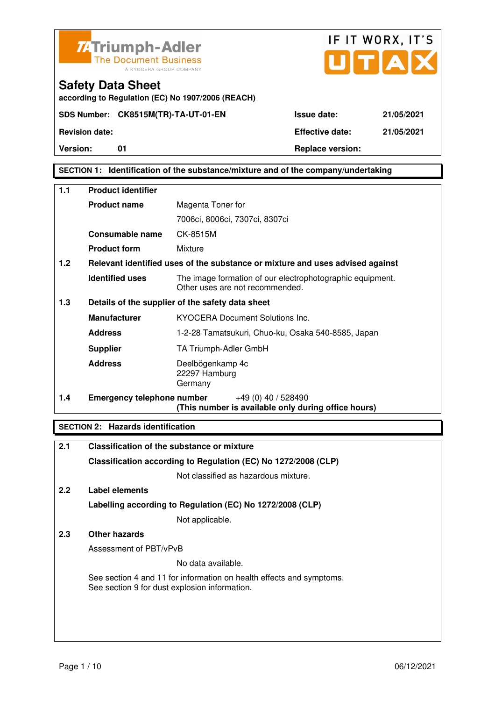

**according to Regulation (EC) No 1907/2006 (REACH)**



**Safety Data Sheet** 

**Version:** 01 **Replace version:** 

### **SECTION 1: Identification of the substance/mixture and of the company/undertaking**

| 1.1 | <b>Product identifier</b>         |                                                                                              |
|-----|-----------------------------------|----------------------------------------------------------------------------------------------|
|     | <b>Product name</b>               | Magenta Toner for                                                                            |
|     |                                   | 7006ci, 8006ci, 7307ci, 8307ci                                                               |
|     | Consumable name                   | CK-8515M                                                                                     |
|     | <b>Product form</b>               | Mixture                                                                                      |
| 1.2 |                                   | Relevant identified uses of the substance or mixture and uses advised against                |
|     | <b>Identified uses</b>            | The image formation of our electrophotographic equipment.<br>Other uses are not recommended. |
| 1.3 |                                   | Details of the supplier of the safety data sheet                                             |
|     | <b>Manufacturer</b>               | <b>KYOCERA Document Solutions Inc.</b>                                                       |
|     | <b>Address</b>                    | 1-2-28 Tamatsukuri, Chuo-ku, Osaka 540-8585, Japan                                           |
|     | <b>Supplier</b>                   | TA Triumph-Adler GmbH                                                                        |
|     | <b>Address</b>                    | Deelbögenkamp 4c<br>22297 Hamburg<br>Germany                                                 |
| 1.4 | <b>Emergency telephone number</b> | +49 (0) 40 / 528490<br>(This number is available only during office hours)                   |

#### **SECTION 2: Hazards identification**

| 2.1 | Classification of the substance or mixture                                                                            |
|-----|-----------------------------------------------------------------------------------------------------------------------|
|     | Classification according to Regulation (EC) No 1272/2008 (CLP)                                                        |
|     | Not classified as hazardous mixture.                                                                                  |
| 2.2 | Label elements                                                                                                        |
|     | Labelling according to Regulation (EC) No 1272/2008 (CLP)                                                             |
|     | Not applicable.                                                                                                       |
| 2.3 | Other hazards                                                                                                         |
|     | Assessment of PBT/vPvB                                                                                                |
|     | No data available.                                                                                                    |
|     | See section 4 and 11 for information on health effects and symptoms.<br>See section 9 for dust explosion information. |
|     |                                                                                                                       |
|     |                                                                                                                       |
|     |                                                                                                                       |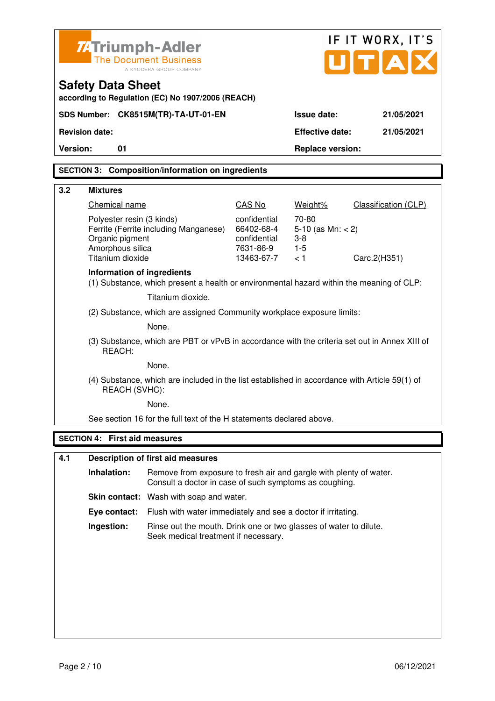|          | <b>74 Triumph-Adler</b>                                                              | <b>The Document Business</b><br>A KYOCERA GROUP COMPANY                                                                      | IF IT WORX, IT'S<br>UTAI                                              |                                                            |                      |  |  |
|----------|--------------------------------------------------------------------------------------|------------------------------------------------------------------------------------------------------------------------------|-----------------------------------------------------------------------|------------------------------------------------------------|----------------------|--|--|
|          | <b>Safety Data Sheet</b>                                                             | according to Regulation (EC) No 1907/2006 (REACH)                                                                            |                                                                       |                                                            |                      |  |  |
|          | SDS Number: CK8515M(TR)-TA-UT-01-EN<br>Issue date:<br>21/05/2021                     |                                                                                                                              |                                                                       |                                                            |                      |  |  |
|          | <b>Revision date:</b>                                                                |                                                                                                                              |                                                                       | <b>Effective date:</b>                                     | 21/05/2021           |  |  |
| Version: | 01                                                                                   |                                                                                                                              |                                                                       | <b>Replace version:</b>                                    |                      |  |  |
|          |                                                                                      | <b>SECTION 3: Composition/information on ingredients</b>                                                                     |                                                                       |                                                            |                      |  |  |
| 3.2      | <b>Mixtures</b>                                                                      |                                                                                                                              |                                                                       |                                                            |                      |  |  |
|          | Chemical name                                                                        |                                                                                                                              | CAS No                                                                | Weight%                                                    | Classification (CLP) |  |  |
|          | Polyester resin (3 kinds)<br>Organic pigment<br>Amorphous silica<br>Titanium dioxide | Ferrite (Ferrite including Manganese)                                                                                        | confidential<br>66402-68-4<br>confidential<br>7631-86-9<br>13463-67-7 | 70-80<br>5-10 (as $Mn: < 2$ )<br>$3 - 8$<br>$1 - 5$<br>< 1 | Carc.2(H351)         |  |  |
|          | Information of ingredients                                                           | (1) Substance, which present a health or environmental hazard within the meaning of CLP:                                     |                                                                       |                                                            |                      |  |  |
|          |                                                                                      | Titanium dioxide.                                                                                                            |                                                                       |                                                            |                      |  |  |
|          |                                                                                      | (2) Substance, which are assigned Community workplace exposure limits:                                                       |                                                                       |                                                            |                      |  |  |
|          |                                                                                      | None.                                                                                                                        |                                                                       |                                                            |                      |  |  |
|          | REACH:                                                                               | (3) Substance, which are PBT or vPvB in accordance with the criteria set out in Annex XIII of                                |                                                                       |                                                            |                      |  |  |
|          |                                                                                      | None.                                                                                                                        |                                                                       |                                                            |                      |  |  |
|          | REACH (SVHC):                                                                        | (4) Substance, which are included in the list established in accordance with Article 59(1) of                                |                                                                       |                                                            |                      |  |  |
|          |                                                                                      | None.                                                                                                                        |                                                                       |                                                            |                      |  |  |
|          |                                                                                      | See section 16 for the full text of the H statements declared above.                                                         |                                                                       |                                                            |                      |  |  |
|          | <b>SECTION 4: First aid measures</b>                                                 |                                                                                                                              |                                                                       |                                                            |                      |  |  |
| 4.1      |                                                                                      | <b>Description of first aid measures</b>                                                                                     |                                                                       |                                                            |                      |  |  |
|          | Inhalation:                                                                          | Remove from exposure to fresh air and gargle with plenty of water.<br>Consult a doctor in case of such symptoms as coughing. |                                                                       |                                                            |                      |  |  |
|          |                                                                                      | Skin contact: Wash with soap and water.                                                                                      |                                                                       |                                                            |                      |  |  |
|          | Eye contact:                                                                         | Flush with water immediately and see a doctor if irritating.                                                                 |                                                                       |                                                            |                      |  |  |
|          | Ingestion:                                                                           | Rinse out the mouth. Drink one or two glasses of water to dilute.<br>Seek medical treatment if necessary.                    |                                                                       |                                                            |                      |  |  |
|          |                                                                                      |                                                                                                                              |                                                                       |                                                            |                      |  |  |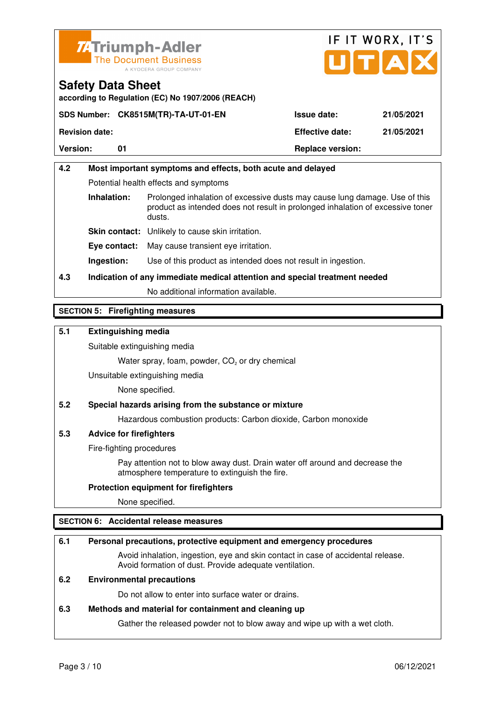



**according to Regulation (EC) No 1907/2006 (REACH)**

|                       | SDS Number: CK8515M(TR)-TA-UT-01-EN | <b>Issue date:</b>      | 21/05/2021 |
|-----------------------|-------------------------------------|-------------------------|------------|
| <b>Revision date:</b> |                                     | <b>Effective date:</b>  | 21/05/2021 |
| <b>Version:</b>       |                                     | <b>Replace version:</b> |            |

# **4.2 Most important symptoms and effects, both acute and delayed**  Potential health effects and symptoms **Inhalation:** Prolonged inhalation of excessive dusts may cause lung damage. Use of this product as intended does not result in prolonged inhalation of excessive toner dusts. **Skin contact:** Unlikely to cause skin irritation. **Eye contact:** May cause transient eye irritation.

**Ingestion:** Use of this product as intended does not result in ingestion.

# **4.3 Indication of any immediate medical attention and special treatment needed**

No additional information available.

### **SECTION 5: Firefighting measures**

### **5.1 Extinguishing media**

Suitable extinguishing media

Water spray, foam, powder,  $CO<sub>2</sub>$  or dry chemical

Unsuitable extinguishing media

None specified.

### **5.2 Special hazards arising from the substance or mixture**

Hazardous combustion products: Carbon dioxide, Carbon monoxide

### **5.3 Advice for firefighters**

Fire-fighting procedures

 Pay attention not to blow away dust. Drain water off around and decrease the atmosphere temperature to extinguish the fire.

#### **Protection equipment for firefighters**

None specified.

### **SECTION 6: Accidental release measures**

#### **6.1 Personal precautions, protective equipment and emergency procedures**

 Avoid inhalation, ingestion, eye and skin contact in case of accidental release. Avoid formation of dust. Provide adequate ventilation.

### **6.2 Environmental precautions**

Do not allow to enter into surface water or drains.

#### **6.3 Methods and material for containment and cleaning up**

Gather the released powder not to blow away and wipe up with a wet cloth.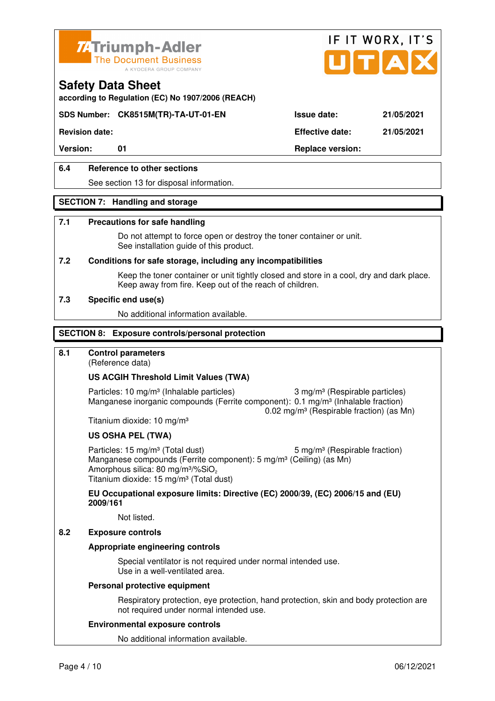



**according to Regulation (EC) No 1907/2006 (REACH)**

### **SDS Number: CK8515M(TR)-TA-UT-01-EN Issue date: 21/05/2021**

**Revision date: Effective date: 21/05/2021** 

Version: 01 01 **Replace version:** 

### **6.4 Reference to other sections**

See section 13 for disposal information.

#### **SECTION 7: Handling and storage**

#### **7.1 Precautions for safe handling**

 Do not attempt to force open or destroy the toner container or unit. See installation guide of this product.

#### **7.2 Conditions for safe storage, including any incompatibilities**

Keep the toner container or unit tightly closed and store in a cool, dry and dark place. Keep away from fire. Keep out of the reach of children.

#### **7.3 Specific end use(s)**

No additional information available.

#### **SECTION 8: Exposure controls/personal protection**

### **8.1 Control parameters**

(Reference data)

#### **US ACGIH Threshold Limit Values (TWA)**

Particles: 10 mg/m<sup>3</sup> (Inhalable particles) 3 mg/m<sup>3</sup> (Respirable particles) Manganese inorganic compounds (Ferrite component): 0.1 mg/m<sup>3</sup> (Inhalable fraction) 0.02 mg/m³ (Respirable fraction) (as Mn)

Titanium dioxide: 10 mg/m³

#### **US OSHA PEL (TWA)**

Particles: 15 mg/m<sup>3</sup> (Total dust) 5 mg/m<sup>3</sup> (Respirable fraction) Manganese compounds (Ferrite component): 5 mg/m<sup>3</sup> (Ceiling) (as Mn) Amorphous silica: 80 mg/m $3\%$ SiO<sub>2</sub> Titanium dioxide: 15 mg/m<sup>3</sup> (Total dust)

**EU Occupational exposure limits: Directive (EC) 2000/39, (EC) 2006/15 and (EU) 2009/161**

Not listed.

### **8.2 Exposure controls**

#### **Appropriate engineering controls**

 Special ventilator is not required under normal intended use. Use in a well-ventilated area.

#### **Personal protective equipment**

 Respiratory protection, eye protection, hand protection, skin and body protection are not required under normal intended use.

#### **Environmental exposure controls**

No additional information available.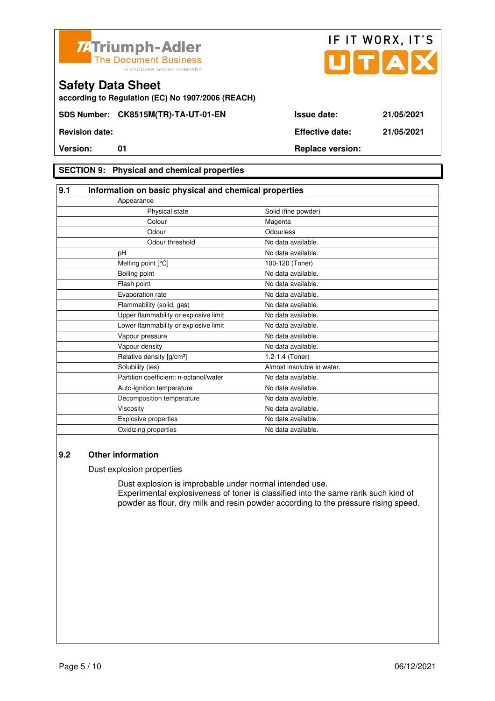



**according to Regulation (EC) No 1907/2006 (REACH)**

### **SECTION 9: Physical and chemical properties**

| 9.1 | Information on basic physical and chemical properties |                            |  |
|-----|-------------------------------------------------------|----------------------------|--|
|     | Appearance                                            |                            |  |
|     | Physical state                                        | Solid (fine powder)        |  |
|     | Colour                                                | Magenta                    |  |
|     | Odour                                                 | Odourless                  |  |
|     | Odour threshold                                       | No data available.         |  |
|     | pH                                                    | No data available.         |  |
|     | Melting point [°C]                                    | 100-120 (Toner)            |  |
|     | Boiling point                                         | No data available.         |  |
|     | Flash point                                           | No data available.         |  |
|     | Evaporation rate                                      | No data available.         |  |
|     | Flammability (solid, gas)                             | No data available.         |  |
|     | Upper flammability or explosive limit                 | No data available.         |  |
|     | Lower flammability or explosive limit                 | No data available.         |  |
|     | Vapour pressure                                       | No data available.         |  |
|     | Vapour density                                        | No data available.         |  |
|     | Relative density [g/cm <sup>3</sup> ]                 | 1.2-1.4 (Toner)            |  |
|     | Solubility (ies)                                      | Almost insoluble in water. |  |
|     | Partition coefficient: n-octanol/water                | No data available.         |  |
|     | Auto-ignition temperature                             | No data available.         |  |
|     | Decomposition temperature                             | No data available.         |  |
|     | Viscosity                                             | No data available.         |  |
|     | Explosive properties                                  | No data available.         |  |
|     | Oxidizing properties                                  | No data available.         |  |

### **9.2 Other information**

Dust explosion properties

 Dust explosion is improbable under normal intended use. Experimental explosiveness of toner is classified into the same rank such kind of powder as flour, dry milk and resin powder according to the pressure rising speed.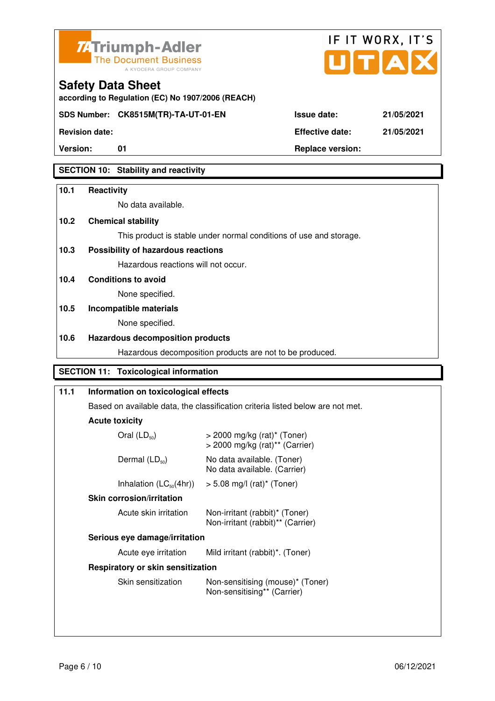



**according to Regulation (EC) No 1907/2006 (REACH)**

**Revision date: Effective date: 21/05/2021** 

**Version:** 01 **Replace version:** 

**Safety Data Sheet** 

### **SECTION 10: Stability and reactivity**

### **10.1 Reactivity**

No data available.

### **10.2 Chemical stability**

This product is stable under normal conditions of use and storage.

### **10.3 Possibility of hazardous reactions**

Hazardous reactions will not occur.

**10.4 Conditions to avoid** 

None specified.

# **10.5 Incompatible materials**

None specified.

### **10.6 Hazardous decomposition products**

Hazardous decomposition products are not to be produced.

### **SECTION 11: Toxicological information**

| 11.1 | Information on toxicological effects<br>Based on available data, the classification criteria listed below are not met.     |                                                                     |  |  |
|------|----------------------------------------------------------------------------------------------------------------------------|---------------------------------------------------------------------|--|--|
|      |                                                                                                                            |                                                                     |  |  |
|      | <b>Acute toxicity</b>                                                                                                      |                                                                     |  |  |
|      | $>$ 2000 mg/kg (rat) <sup>*</sup> (Toner)<br>$>$ 2000 mg/kg (rat) <sup>**</sup> (Carrier)                                  |                                                                     |  |  |
|      | Dermal $(LD_{50})$                                                                                                         | No data available. (Toner)<br>No data available. (Carrier)          |  |  |
|      | Inhalation $(LC_{50}(4hr))$                                                                                                | $> 5.08$ mg/l (rat) <sup>*</sup> (Toner)                            |  |  |
|      |                                                                                                                            |                                                                     |  |  |
|      | Acute skin irritation                                                                                                      | Non-irritant (rabbit)* (Toner)<br>Non-irritant (rabbit)** (Carrier) |  |  |
|      | Serious eye damage/irritation                                                                                              |                                                                     |  |  |
|      | Acute eye irritation                                                                                                       | Mild irritant (rabbit)*. (Toner)                                    |  |  |
|      | Respiratory or skin sensitization<br>Skin sensitization<br>Non-sensitising (mouse)* (Toner)<br>Non-sensitising** (Carrier) |                                                                     |  |  |
|      |                                                                                                                            |                                                                     |  |  |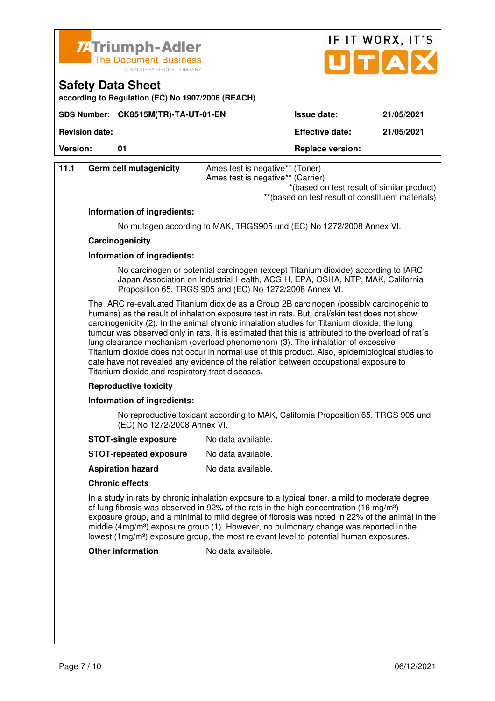

**SDS Number: CK8515M(TR)-TA-UT-01-EN** 

**according to Regulation (EC) No 1907/2006 (REACH)**

**Safety Data Sheet** 

|                    | IF IT WORX, IT'S<br>JITIAI |
|--------------------|----------------------------|
|                    |                            |
| <b>Issue date:</b> | 21/05/2021                 |

**Revision date: Effective date: 21/05/2021** 

**Version:** 01 **Depending to 201 Replace version:** 

| 11.1 | Germ cell mutagenicity      | Ames test is negative** (Toner)<br>Ames test is negative** (Carrier)<br>*(based on test result of similar product)                                                                                                               |
|------|-----------------------------|----------------------------------------------------------------------------------------------------------------------------------------------------------------------------------------------------------------------------------|
|      |                             | ** (based on test result of constituent materials)                                                                                                                                                                               |
|      | Information of ingredients: |                                                                                                                                                                                                                                  |
|      |                             | No mutagen according to MAK, TRGS905 und (EC) No 1272/2008 Annex VI.                                                                                                                                                             |
|      | Carcinogenicity             |                                                                                                                                                                                                                                  |
|      | Information of ingredients: |                                                                                                                                                                                                                                  |
|      |                             | No carcinogen or potential carcinogen (except Titanium dioxide) according to IARC,<br>Japan Association on Industrial Health, ACGIH, EPA, OSHA, NTP, MAK, California<br>Proposition 65, TRGS 905 and (EC) No 1272/2008 Annex VI. |
|      |                             | The IARC re-evaluated Titanium dioxide as a Group 2B carcinogen (possibly carcinogenic to                                                                                                                                        |

 humans) as the result of inhalation exposure test in rats. But, oral/skin test does not show carcinogenicity (2). In the animal chronic inhalation studies for Titanium dioxide, the lung tumour was observed only in rats. It is estimated that this is attributed to the overload of rat´s lung clearance mechanism (overload phenomenon) (3). The inhalation of excessive Titanium dioxide does not occur in normal use of this product. Also, epidemiological studies to date have not revealed any evidence of the relation between occupational exposure to Titanium dioxide and respiratory tract diseases.

#### **Reproductive toxicity**

#### **Information of ingredients:**

 No reproductive toxicant according to MAK, California Proposition 65, TRGS 905 und (EC) No 1272/2008 Annex VI.

- **STOT-single exposure** No data available.
- **STOT-repeated exposure** No data available.
- **Aspiration hazard** No data available.

#### **Chronic effects**

 In a study in rats by chronic inhalation exposure to a typical toner, a mild to moderate degree of lung fibrosis was observed in 92% of the rats in the high concentration (16 mg/m<sup>3</sup>) exposure group, and a minimal to mild degree of fibrosis was noted in 22% of the animal in the middle  $(4mg/m<sup>3</sup>)$  exposure group (1). However, no pulmonary change was reported in the lowest (1mg/m<sup>3</sup>) exposure group, the most relevant level to potential human exposures.

**Other information** No data available.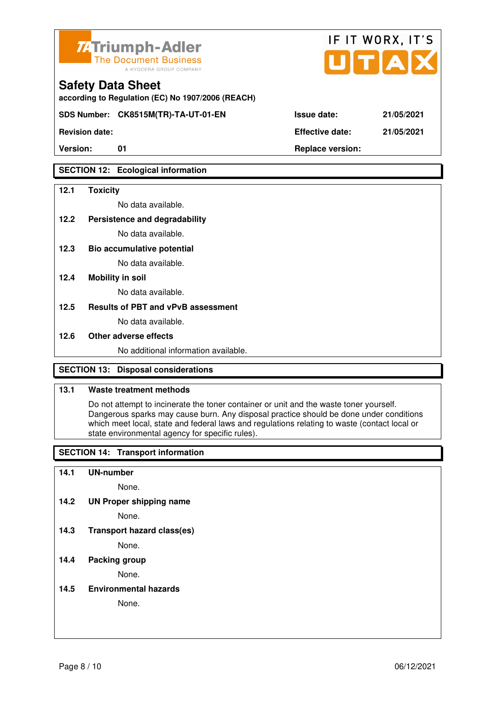

**according to Regulation (EC) No 1907/2006 (REACH)**

**SDS Number: CK8515M(TR)-TA-UT-01-EN Issue date: 21/05/2021** 

**Revision date: Effective date: 21/05/2021** 

### **SECTION 12: Ecological information**

### **12.1 Toxicity**

No data available.

**12.2 Persistence and degradability** 

No data available.

**12.3 Bio accumulative potential** 

No data available.

### **12.4 Mobility in soil**

No data available.

### **12.5 Results of PBT and vPvB assessment**

No data available.

#### **12.6 Other adverse effects**

No additional information available.

### **SECTION 13: Disposal considerations**

### **13.1 Waste treatment methods**

 Do not attempt to incinerate the toner container or unit and the waste toner yourself. Dangerous sparks may cause burn. Any disposal practice should be done under conditions which meet local, state and federal laws and regulations relating to waste (contact local or state environmental agency for specific rules).

### **SECTION 14: Transport information**

#### **14.1 UN-number**

None.

**14.2 UN Proper shipping name** 

None.

**14.3 Transport hazard class(es)** 

None.

### **14.4 Packing group**

None.

**14.5 Environmental hazards** 

None.

| <b>ue date:</b> | 21/05/20 |
|-----------------|----------|
|                 | -----    |

IF IT WORX, IT'S

Version: 01 01 **Replace version: Replace version:**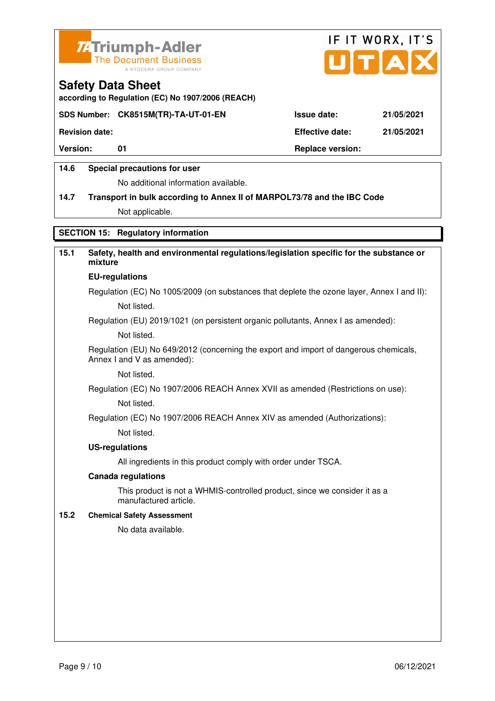



**according to Regulation (EC) No 1907/2006 (REACH)**

### **SDS Number: CK8515M(TR)-TA-UT-01-EN Issue date: 21/05/2021**

**Revision date: Effective date: 21/05/2021** 

Version: 01 01 **Replace version: Replace version:** 

### **14.6 Special precautions for user**

No additional information available.

# **14.7 Transport in bulk according to Annex II of MARPOL73/78 and the IBC Code**

Not applicable.

### **SECTION 15: Regulatory information**

### **15.1 Safety, health and environmental regulations/legislation specific for the substance or mixture EU-regulations**

Regulation (EC) No 1005/2009 (on substances that deplete the ozone layer, Annex I and II): Not listed.

Regulation (EU) 2019/1021 (on persistent organic pollutants, Annex I as amended):

Not listed.

 Regulation (EU) No 649/2012 (concerning the export and import of dangerous chemicals, Annex I and V as amended):

Not listed.

 Regulation (EC) No 1907/2006 REACH Annex XVII as amended (Restrictions on use): Not listed.

Regulation (EC) No 1907/2006 REACH Annex XIV as amended (Authorizations):

Not listed.

#### **US-regulations**

All ingredients in this product comply with order under TSCA.

#### **Canada regulations**

 This product is not a WHMIS-controlled product, since we consider it as a manufactured article.

#### **15.2 Chemical Safety Assessment**

No data available.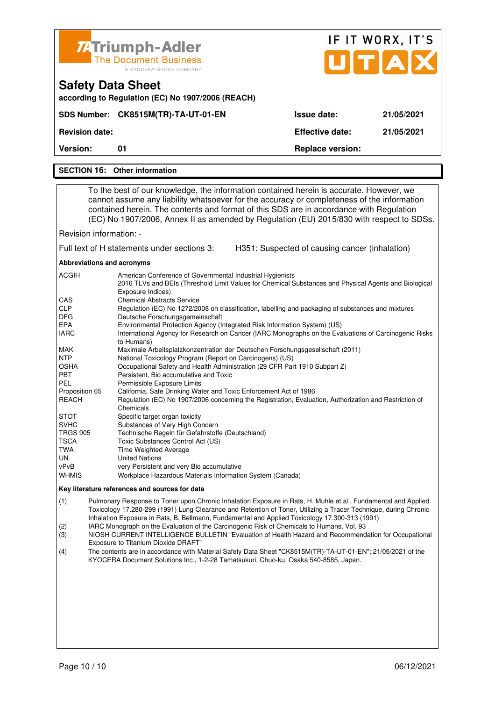|                                                                                                                                                                                                                                                                                                                                             | <b>74 Triumph-Adler</b>                                                                                                                                                                                                                                                                                                                                                                                                                                                                                                                                                                                                                                                                                                                                                                                                                                                                                                                                                                                                                                                                                                                                                                                                                                                                                                                 |                                                | IF IT WORX, IT'S |  |
|---------------------------------------------------------------------------------------------------------------------------------------------------------------------------------------------------------------------------------------------------------------------------------------------------------------------------------------------|-----------------------------------------------------------------------------------------------------------------------------------------------------------------------------------------------------------------------------------------------------------------------------------------------------------------------------------------------------------------------------------------------------------------------------------------------------------------------------------------------------------------------------------------------------------------------------------------------------------------------------------------------------------------------------------------------------------------------------------------------------------------------------------------------------------------------------------------------------------------------------------------------------------------------------------------------------------------------------------------------------------------------------------------------------------------------------------------------------------------------------------------------------------------------------------------------------------------------------------------------------------------------------------------------------------------------------------------|------------------------------------------------|------------------|--|
|                                                                                                                                                                                                                                                                                                                                             | <b>The Document Business</b><br>A KYOCERA GROUP COMPANY                                                                                                                                                                                                                                                                                                                                                                                                                                                                                                                                                                                                                                                                                                                                                                                                                                                                                                                                                                                                                                                                                                                                                                                                                                                                                 |                                                | UTAD             |  |
|                                                                                                                                                                                                                                                                                                                                             | <b>Safety Data Sheet</b><br>according to Regulation (EC) No 1907/2006 (REACH)                                                                                                                                                                                                                                                                                                                                                                                                                                                                                                                                                                                                                                                                                                                                                                                                                                                                                                                                                                                                                                                                                                                                                                                                                                                           |                                                |                  |  |
|                                                                                                                                                                                                                                                                                                                                             | SDS Number: CK8515M(TR)-TA-UT-01-EN                                                                                                                                                                                                                                                                                                                                                                                                                                                                                                                                                                                                                                                                                                                                                                                                                                                                                                                                                                                                                                                                                                                                                                                                                                                                                                     | <b>Issue date:</b>                             | 21/05/2021       |  |
| <b>Revision date:</b>                                                                                                                                                                                                                                                                                                                       |                                                                                                                                                                                                                                                                                                                                                                                                                                                                                                                                                                                                                                                                                                                                                                                                                                                                                                                                                                                                                                                                                                                                                                                                                                                                                                                                         | <b>Effective date:</b>                         | 21/05/2021       |  |
| <b>Version:</b>                                                                                                                                                                                                                                                                                                                             | 01                                                                                                                                                                                                                                                                                                                                                                                                                                                                                                                                                                                                                                                                                                                                                                                                                                                                                                                                                                                                                                                                                                                                                                                                                                                                                                                                      | <b>Replace version:</b>                        |                  |  |
|                                                                                                                                                                                                                                                                                                                                             | <b>SECTION 16: Other information</b>                                                                                                                                                                                                                                                                                                                                                                                                                                                                                                                                                                                                                                                                                                                                                                                                                                                                                                                                                                                                                                                                                                                                                                                                                                                                                                    |                                                |                  |  |
|                                                                                                                                                                                                                                                                                                                                             |                                                                                                                                                                                                                                                                                                                                                                                                                                                                                                                                                                                                                                                                                                                                                                                                                                                                                                                                                                                                                                                                                                                                                                                                                                                                                                                                         |                                                |                  |  |
|                                                                                                                                                                                                                                                                                                                                             | To the best of our knowledge, the information contained herein is accurate. However, we<br>cannot assume any liability whatsoever for the accuracy or completeness of the information<br>contained herein. The contents and format of this SDS are in accordance with Regulation<br>(EC) No 1907/2006, Annex II as amended by Regulation (EU) 2015/830 with respect to SDSs.                                                                                                                                                                                                                                                                                                                                                                                                                                                                                                                                                                                                                                                                                                                                                                                                                                                                                                                                                            |                                                |                  |  |
| Revision information: -                                                                                                                                                                                                                                                                                                                     |                                                                                                                                                                                                                                                                                                                                                                                                                                                                                                                                                                                                                                                                                                                                                                                                                                                                                                                                                                                                                                                                                                                                                                                                                                                                                                                                         |                                                |                  |  |
|                                                                                                                                                                                                                                                                                                                                             | Full text of H statements under sections 3:                                                                                                                                                                                                                                                                                                                                                                                                                                                                                                                                                                                                                                                                                                                                                                                                                                                                                                                                                                                                                                                                                                                                                                                                                                                                                             | H351: Suspected of causing cancer (inhalation) |                  |  |
| Abbreviations and acronyms                                                                                                                                                                                                                                                                                                                  |                                                                                                                                                                                                                                                                                                                                                                                                                                                                                                                                                                                                                                                                                                                                                                                                                                                                                                                                                                                                                                                                                                                                                                                                                                                                                                                                         |                                                |                  |  |
| ACGIH<br>CAS<br><b>CLP</b><br>DFG.<br><b>EPA</b><br><b>IARC</b><br><b>MAK</b><br><b>NTP</b><br>OSHA<br><b>PBT</b><br>PEL<br>Proposition 65<br><b>REACH</b><br>STOT<br><b>SVHC</b><br><b>TRGS 905</b><br>TSCA<br>TWA<br>UN<br>vPvB                                                                                                           | American Conference of Governmental Industrial Hygienists<br>2016 TLVs and BEIs (Threshold Limit Values for Chemical Substances and Physical Agents and Biological<br>Exposure Indices)<br><b>Chemical Abstracts Service</b><br>Regulation (EC) No 1272/2008 on classification, labelling and packaging of substances and mixtures<br>Deutsche Forschungsgemeinschaft<br>Environmental Protection Agency (Integrated Risk Information System) (US)<br>International Agency for Research on Cancer (IARC Monographs on the Evaluations of Carcinogenic Risks<br>to Humans)<br>Maximale Arbeitsplatzkonzentration der Deutschen Forschungsgesellschaft (2011)<br>National Toxicology Program (Report on Carcinogens) (US)<br>Occupational Safety and Health Administration (29 CFR Part 1910 Subpart Z)<br>Persistent, Bio accumulative and Toxic<br>Permissible Exposure Limits<br>California, Safe Drinking Water and Toxic Enforcement Act of 1986<br>Regulation (EC) No 1907/2006 concerning the Registration, Evaluation, Authorization and Restriction of<br>Chemicals<br>Specific target organ toxicity<br>Substances of Very High Concern<br>Technische Regeln für Gefahrstoffe (Deutschland)<br>Toxic Substances Control Act (US)<br>Time Weighted Average<br><b>United Nations</b><br>very Persistent and very Bio accumulative |                                                |                  |  |
| WHMIS                                                                                                                                                                                                                                                                                                                                       | Workplace Hazardous Materials Information System (Canada)                                                                                                                                                                                                                                                                                                                                                                                                                                                                                                                                                                                                                                                                                                                                                                                                                                                                                                                                                                                                                                                                                                                                                                                                                                                                               |                                                |                  |  |
| Key literature references and sources for data                                                                                                                                                                                                                                                                                              |                                                                                                                                                                                                                                                                                                                                                                                                                                                                                                                                                                                                                                                                                                                                                                                                                                                                                                                                                                                                                                                                                                                                                                                                                                                                                                                                         |                                                |                  |  |
| Pulmonary Response to Toner upon Chronic Inhalation Exposure in Rats, H. Muhle et al., Fundamental and Applied<br>(1)<br>Toxicology 17.280-299 (1991) Lung Clearance and Retention of Toner, Utilizing a Tracer Technique, during Chronic<br>Inhalation Exposure in Rats, B. Bellmann, Fundamental and Applied Toxicology 17.300-313 (1991) |                                                                                                                                                                                                                                                                                                                                                                                                                                                                                                                                                                                                                                                                                                                                                                                                                                                                                                                                                                                                                                                                                                                                                                                                                                                                                                                                         |                                                |                  |  |

- (2) IARC Monograph on the Evaluation of the Carcinogenic Risk of Chemicals to Humans, Vol. 93
- (3) NIOSH CURRENT INTELLIGENCE BULLETIN "Evaluation of Health Hazard and Recommendation for Occupational Exposure to Titanium Dioxide DRAFT"<br>(4) The contents are in accordance with M
- (4) The contents are in accordance with Material Safety Data Sheet "CK8515M(TR)-TA-UT-01-EN"; 21/05/2021 of the KYOCERA Document Solutions Inc., 1-2-28 Tamatsukuri, Chuo-ku, Osaka 540-8585, Japan.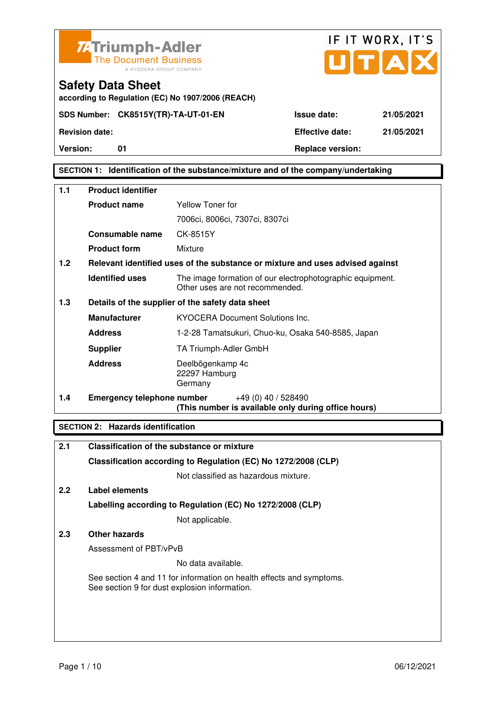



**according to Regulation (EC) No 1907/2006 (REACH)**

**Version:** 01 **Replace version:** 

**SECTION 1: Identification of the substance/mixture and of the company/undertaking** 

| 1.1 | <b>Product identifier</b>         |                                                                                              |  |  |
|-----|-----------------------------------|----------------------------------------------------------------------------------------------|--|--|
|     | <b>Product name</b>               | Yellow Toner for                                                                             |  |  |
|     |                                   | 7006ci, 8006ci, 7307ci, 8307ci                                                               |  |  |
|     | Consumable name                   | CK-8515Y                                                                                     |  |  |
|     | <b>Product form</b>               | Mixture                                                                                      |  |  |
| 1.2 |                                   | Relevant identified uses of the substance or mixture and uses advised against                |  |  |
|     | <b>Identified uses</b>            | The image formation of our electrophotographic equipment.<br>Other uses are not recommended. |  |  |
| 1.3 |                                   | Details of the supplier of the safety data sheet                                             |  |  |
|     | <b>Manufacturer</b>               | <b>KYOCERA Document Solutions Inc.</b>                                                       |  |  |
|     | <b>Address</b>                    | 1-2-28 Tamatsukuri, Chuo-ku, Osaka 540-8585, Japan                                           |  |  |
|     | <b>Supplier</b>                   | TA Triumph-Adler GmbH                                                                        |  |  |
|     | <b>Address</b>                    | Deelbögenkamp 4c<br>22297 Hamburg<br>Germany                                                 |  |  |
| 1.4 | <b>Emergency telephone number</b> | +49 (0) 40 / 528490<br>(This number is available only during office hours)                   |  |  |

### **SECTION 2: Hazards identification**

| 2.1 | Classification of the substance or mixture                                                                            |
|-----|-----------------------------------------------------------------------------------------------------------------------|
|     | Classification according to Regulation (EC) No 1272/2008 (CLP)                                                        |
|     | Not classified as hazardous mixture.                                                                                  |
| 2.2 | Label elements                                                                                                        |
|     | Labelling according to Regulation (EC) No 1272/2008 (CLP)                                                             |
|     | Not applicable.                                                                                                       |
| 2.3 | Other hazards                                                                                                         |
|     | Assessment of PBT/vPvB                                                                                                |
|     | No data available.                                                                                                    |
|     | See section 4 and 11 for information on health effects and symptoms.<br>See section 9 for dust explosion information. |
|     |                                                                                                                       |
|     |                                                                                                                       |
|     |                                                                                                                       |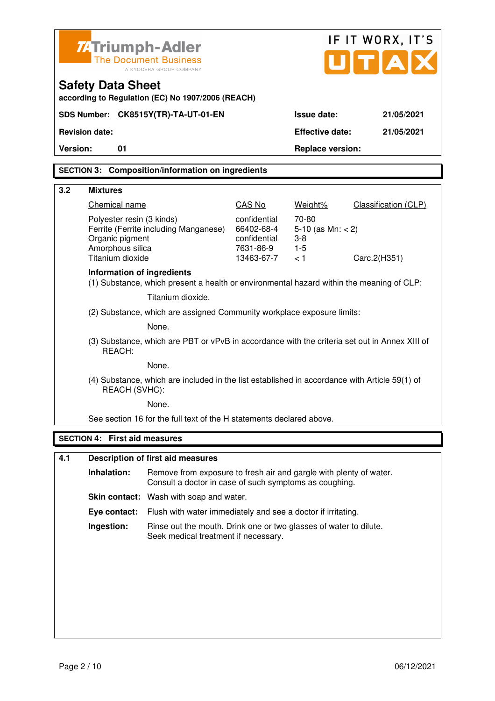|          | IF IT WORX, IT'S<br><b>ZATriumph-Adler</b><br>UITIA<br><b>The Document Business</b><br>A KYOCERA GROUP COMPANY<br><b>Safety Data Sheet</b><br>according to Regulation (EC) No 1907/2006 (REACH) |                                                                                                                              |                                                                       |                                                        |                      |
|----------|-------------------------------------------------------------------------------------------------------------------------------------------------------------------------------------------------|------------------------------------------------------------------------------------------------------------------------------|-----------------------------------------------------------------------|--------------------------------------------------------|----------------------|
|          |                                                                                                                                                                                                 | SDS Number: CK8515Y(TR)-TA-UT-01-EN                                                                                          |                                                                       | <b>Issue date:</b>                                     | 21/05/2021           |
|          | <b>Revision date:</b>                                                                                                                                                                           |                                                                                                                              |                                                                       | <b>Effective date:</b>                                 | 21/05/2021           |
| Version: | 01                                                                                                                                                                                              |                                                                                                                              |                                                                       | <b>Replace version:</b>                                |                      |
|          |                                                                                                                                                                                                 | <b>SECTION 3: Composition/information on ingredients</b>                                                                     |                                                                       |                                                        |                      |
| 3.2      | <b>Mixtures</b>                                                                                                                                                                                 |                                                                                                                              |                                                                       |                                                        |                      |
|          | Chemical name                                                                                                                                                                                   |                                                                                                                              | CAS No                                                                | Weight%                                                | Classification (CLP) |
|          | Polyester resin (3 kinds)<br>Organic pigment<br>Amorphous silica<br>Titanium dioxide                                                                                                            | Ferrite (Ferrite including Manganese)                                                                                        | confidential<br>66402-68-4<br>confidential<br>7631-86-9<br>13463-67-7 | 70-80<br>5-10 (as $Mn: < 2$ )<br>$3-8$<br>$1-5$<br>< 1 | Carc.2(H351)         |
|          | Information of ingredients                                                                                                                                                                      | (1) Substance, which present a health or environmental hazard within the meaning of CLP:                                     |                                                                       |                                                        |                      |
|          |                                                                                                                                                                                                 | Titanium dioxide.                                                                                                            |                                                                       |                                                        |                      |
|          |                                                                                                                                                                                                 | (2) Substance, which are assigned Community workplace exposure limits:                                                       |                                                                       |                                                        |                      |
|          |                                                                                                                                                                                                 | None.                                                                                                                        |                                                                       |                                                        |                      |
|          | REACH:                                                                                                                                                                                          | (3) Substance, which are PBT or vPvB in accordance with the criteria set out in Annex XIII of                                |                                                                       |                                                        |                      |
|          |                                                                                                                                                                                                 | None.                                                                                                                        |                                                                       |                                                        |                      |
|          | REACH (SVHC):                                                                                                                                                                                   | (4) Substance, which are included in the list established in accordance with Article 59(1) of                                |                                                                       |                                                        |                      |
|          |                                                                                                                                                                                                 | None.                                                                                                                        |                                                                       |                                                        |                      |
|          |                                                                                                                                                                                                 | See section 16 for the full text of the H statements declared above.                                                         |                                                                       |                                                        |                      |
|          | <b>SECTION 4: First aid measures</b>                                                                                                                                                            |                                                                                                                              |                                                                       |                                                        |                      |
| 4.1      |                                                                                                                                                                                                 | <b>Description of first aid measures</b>                                                                                     |                                                                       |                                                        |                      |
|          | Inhalation:                                                                                                                                                                                     | Remove from exposure to fresh air and gargle with plenty of water.<br>Consult a doctor in case of such symptoms as coughing. |                                                                       |                                                        |                      |
|          |                                                                                                                                                                                                 | <b>Skin contact:</b> Wash with soap and water.                                                                               |                                                                       |                                                        |                      |
|          | Eye contact:                                                                                                                                                                                    | Flush with water immediately and see a doctor if irritating.                                                                 |                                                                       |                                                        |                      |
|          | Ingestion:                                                                                                                                                                                      | Rinse out the mouth. Drink one or two glasses of water to dilute.<br>Seek medical treatment if necessary.                    |                                                                       |                                                        |                      |
|          |                                                                                                                                                                                                 |                                                                                                                              |                                                                       |                                                        |                      |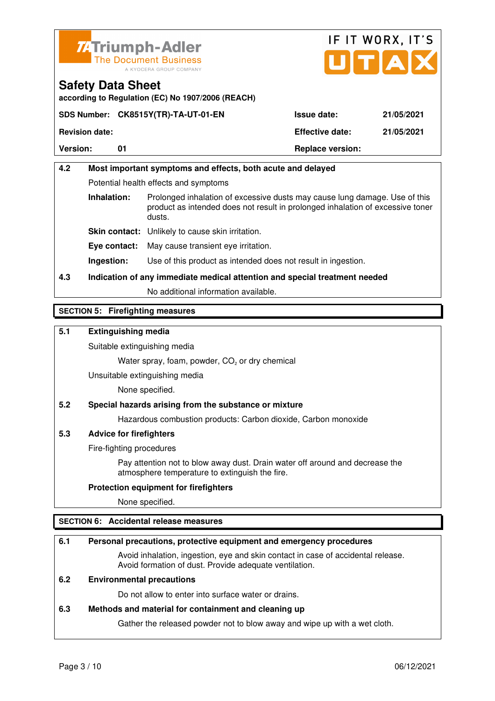



**according to Regulation (EC) No 1907/2006 (REACH)**

|                       | SDS Number: CK8515Y(TR)-TA-UT-01-EN | <b>Issue date:</b>      | 21/05/2021 |
|-----------------------|-------------------------------------|-------------------------|------------|
| <b>Revision date:</b> |                                     | <b>Effective date:</b>  | 21/05/2021 |
| <b>Version:</b>       |                                     | <b>Replace version:</b> |            |

# **4.2 Most important symptoms and effects, both acute and delayed**  Potential health effects and symptoms **Inhalation:** Prolonged inhalation of excessive dusts may cause lung damage. Use of this product as intended does not result in prolonged inhalation of excessive toner dusts. **Skin contact:** Unlikely to cause skin irritation. **Eye contact:** May cause transient eye irritation.

**Ingestion:** Use of this product as intended does not result in ingestion.

# **4.3 Indication of any immediate medical attention and special treatment needed**

No additional information available.

### **SECTION 5: Firefighting measures**

### **5.1 Extinguishing media**

Suitable extinguishing media

Water spray, foam, powder,  $CO<sub>2</sub>$  or dry chemical

Unsuitable extinguishing media

None specified.

### **5.2 Special hazards arising from the substance or mixture**

Hazardous combustion products: Carbon dioxide, Carbon monoxide

### **5.3 Advice for firefighters**

Fire-fighting procedures

 Pay attention not to blow away dust. Drain water off around and decrease the atmosphere temperature to extinguish the fire.

### **Protection equipment for firefighters**

None specified.

### **SECTION 6: Accidental release measures**

#### **6.1 Personal precautions, protective equipment and emergency procedures**

 Avoid inhalation, ingestion, eye and skin contact in case of accidental release. Avoid formation of dust. Provide adequate ventilation.

### **6.2 Environmental precautions**

Do not allow to enter into surface water or drains.

#### **6.3 Methods and material for containment and cleaning up**

Gather the released powder not to blow away and wipe up with a wet cloth.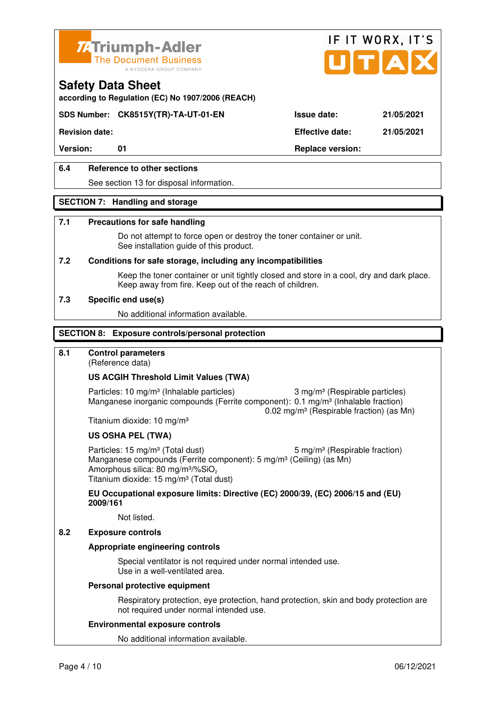



**according to Regulation (EC) No 1907/2006 (REACH)**

### **SDS Number: CK8515Y(TR)-TA-UT-01-EN Issue date: 21/05/2021**

**Revision date: Effective date: 21/05/2021** 

Version: 01 01 **Replace version:** 

### **6.4 Reference to other sections**

See section 13 for disposal information.

#### **SECTION 7: Handling and storage**

#### **7.1 Precautions for safe handling**

 Do not attempt to force open or destroy the toner container or unit. See installation guide of this product.

#### **7.2 Conditions for safe storage, including any incompatibilities**

Keep the toner container or unit tightly closed and store in a cool, dry and dark place. Keep away from fire. Keep out of the reach of children.

#### **7.3 Specific end use(s)**

No additional information available.

#### **SECTION 8: Exposure controls/personal protection**

### **8.1 Control parameters**

(Reference data)

#### **US ACGIH Threshold Limit Values (TWA)**

Particles: 10 mg/m<sup>3</sup> (Inhalable particles) 3 mg/m<sup>3</sup> (Respirable particles) Manganese inorganic compounds (Ferrite component): 0.1 mg/m<sup>3</sup> (Inhalable fraction) 0.02 mg/m³ (Respirable fraction) (as Mn)

Titanium dioxide: 10 mg/m³

#### **US OSHA PEL (TWA)**

Particles: 15 mg/m<sup>3</sup> (Total dust) 5 mg/m<sup>3</sup> (Respirable fraction) Manganese compounds (Ferrite component): 5 mg/m<sup>3</sup> (Ceiling) (as Mn) Amorphous silica: 80 mg/m $3\%$ SiO<sub>2</sub> Titanium dioxide: 15 mg/m<sup>3</sup> (Total dust)

**EU Occupational exposure limits: Directive (EC) 2000/39, (EC) 2006/15 and (EU) 2009/161**

Not listed.

### **8.2 Exposure controls**

#### **Appropriate engineering controls**

 Special ventilator is not required under normal intended use. Use in a well-ventilated area.

#### **Personal protective equipment**

 Respiratory protection, eye protection, hand protection, skin and body protection are not required under normal intended use.

#### **Environmental exposure controls**

No additional information available.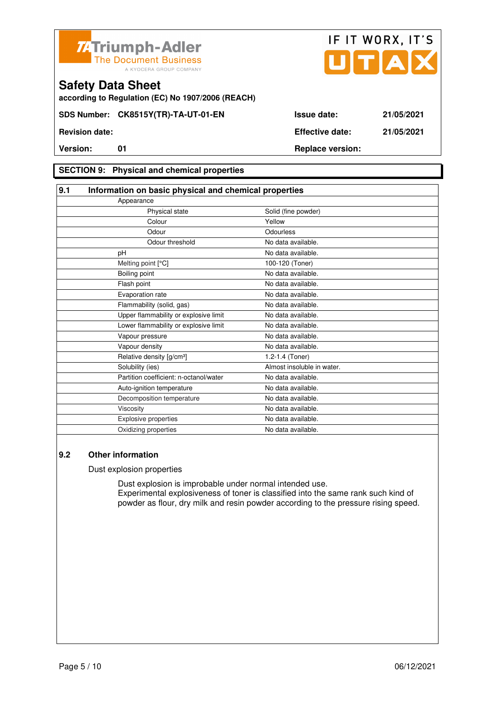



**according to Regulation (EC) No 1907/2006 (REACH)**

### **SECTION 9: Physical and chemical properties**

| 9.1                         | Information on basic physical and chemical properties |                            |  |
|-----------------------------|-------------------------------------------------------|----------------------------|--|
| Appearance                  |                                                       |                            |  |
|                             | Physical state                                        | Solid (fine powder)        |  |
|                             | Colour                                                | Yellow                     |  |
|                             | Odour                                                 | Odourless                  |  |
|                             | Odour threshold                                       | No data available.         |  |
| pH                          |                                                       | No data available.         |  |
| Melting point [°C]          |                                                       | 100-120 (Toner)            |  |
| Boiling point               |                                                       | No data available.         |  |
| Flash point                 |                                                       | No data available.         |  |
| Evaporation rate            |                                                       | No data available.         |  |
|                             | Flammability (solid, gas)                             | No data available.         |  |
|                             | Upper flammability or explosive limit                 | No data available.         |  |
|                             | Lower flammability or explosive limit                 | No data available.         |  |
| Vapour pressure             |                                                       | No data available.         |  |
| Vapour density              |                                                       | No data available.         |  |
|                             | Relative density [g/cm <sup>3</sup> ]                 | 1.2-1.4 (Toner)            |  |
| Solubility (ies)            |                                                       | Almost insoluble in water. |  |
|                             | Partition coefficient: n-octanol/water                | No data available.         |  |
|                             | Auto-ignition temperature                             | No data available.         |  |
|                             | Decomposition temperature                             | No data available.         |  |
| Viscosity                   |                                                       | No data available.         |  |
| <b>Explosive properties</b> |                                                       | No data available.         |  |
| Oxidizing properties        |                                                       | No data available.         |  |

### **9.2 Other information**

Dust explosion properties

 Dust explosion is improbable under normal intended use. Experimental explosiveness of toner is classified into the same rank such kind of powder as flour, dry milk and resin powder according to the pressure rising speed.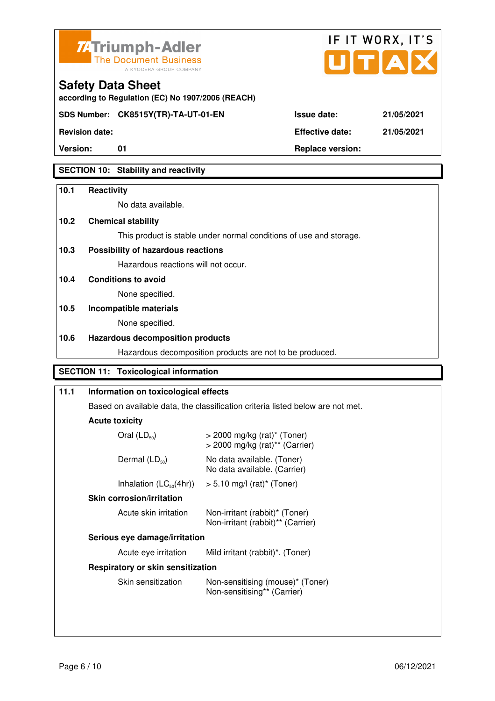



**Version:** 01 **Replace version:** 

**Revision date: Effective date: 21/05/2021** 

## **SECTION 10: Stability and reactivity**

### **10.1 Reactivity**

No data available.

**according to Regulation (EC) No 1907/2006 (REACH)**

### **10.2 Chemical stability**

This product is stable under normal conditions of use and storage.

### **10.3 Possibility of hazardous reactions**

Hazardous reactions will not occur.

**10.4 Conditions to avoid** 

None specified.

# **10.5 Incompatible materials**

None specified.

### **10.6 Hazardous decomposition products**

Hazardous decomposition products are not to be produced.

### **SECTION 11: Toxicological information**

| 11.1                              | Information on toxicological effects<br>Based on available data, the classification criteria listed below are not met.<br><b>Acute toxicity</b> |                                                                                           |  |
|-----------------------------------|-------------------------------------------------------------------------------------------------------------------------------------------------|-------------------------------------------------------------------------------------------|--|
|                                   |                                                                                                                                                 |                                                                                           |  |
|                                   |                                                                                                                                                 |                                                                                           |  |
|                                   | Oral $(LD_{50})$                                                                                                                                | $>$ 2000 mg/kg (rat) <sup>*</sup> (Toner)<br>$>$ 2000 mg/kg (rat) <sup>**</sup> (Carrier) |  |
|                                   | Dermal $(LD_{50})$                                                                                                                              | No data available. (Toner)<br>No data available. (Carrier)                                |  |
|                                   | Inhalation $(LC_{50}(4hr))$                                                                                                                     | $> 5.10$ mg/l (rat) <sup>*</sup> (Toner)                                                  |  |
|                                   | <b>Skin corrosion/irritation</b>                                                                                                                |                                                                                           |  |
|                                   | Acute skin irritation                                                                                                                           | Non-irritant (rabbit)* (Toner)<br>Non-irritant (rabbit)** (Carrier)                       |  |
|                                   | Serious eye damage/irritation                                                                                                                   |                                                                                           |  |
|                                   | Acute eye irritation                                                                                                                            | Mild irritant (rabbit)*. (Toner)                                                          |  |
| Respiratory or skin sensitization |                                                                                                                                                 |                                                                                           |  |
|                                   | Skin sensitization                                                                                                                              | Non-sensitising (mouse)* (Toner)<br>Non-sensitising** (Carrier)                           |  |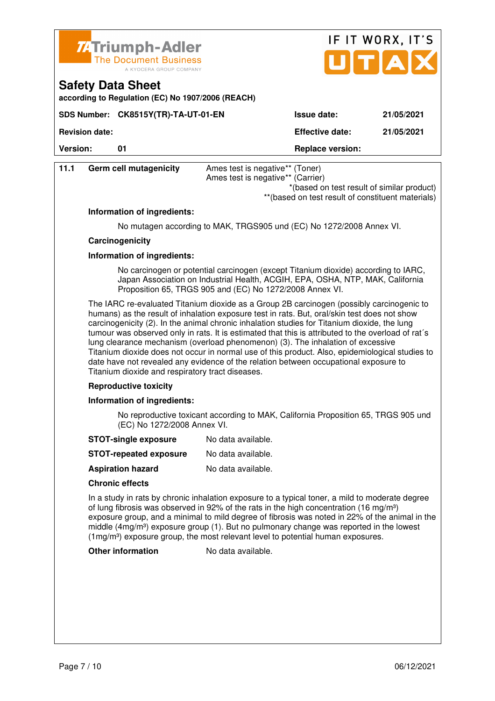

**SDS Number: CK8515Y(TR)-TA-UT-01-EN** 

**according to Regulation (EC) No 1907/2006 (REACH)**

| IF IT WORX, IT'S |            |  |  |  |
|------------------|------------|--|--|--|
|                  | JITIAI     |  |  |  |
| Issue date:      | 21/05/2021 |  |  |  |

**Revision date: Effective date: 21/05/2021** 

**Version:** 01 01 Replace version:

**Safety Data Sheet** 

| 11.1                         | <b>Germ cell mutagenicity</b>                                                                                                                                                                                                                                                                                                                                                                                                                                                                                                                                                                                                                                                                                                     | Ames test is negative** (Toner)<br>Ames test is negative** (Carrier)<br>*(based on test result of similar product)<br>** (based on test result of constituent materials) |  |  |
|------------------------------|-----------------------------------------------------------------------------------------------------------------------------------------------------------------------------------------------------------------------------------------------------------------------------------------------------------------------------------------------------------------------------------------------------------------------------------------------------------------------------------------------------------------------------------------------------------------------------------------------------------------------------------------------------------------------------------------------------------------------------------|--------------------------------------------------------------------------------------------------------------------------------------------------------------------------|--|--|
|                              | Information of ingredients:                                                                                                                                                                                                                                                                                                                                                                                                                                                                                                                                                                                                                                                                                                       |                                                                                                                                                                          |  |  |
|                              | No mutagen according to MAK, TRGS905 und (EC) No 1272/2008 Annex VI.                                                                                                                                                                                                                                                                                                                                                                                                                                                                                                                                                                                                                                                              |                                                                                                                                                                          |  |  |
|                              | Carcinogenicity                                                                                                                                                                                                                                                                                                                                                                                                                                                                                                                                                                                                                                                                                                                   |                                                                                                                                                                          |  |  |
|                              | Information of ingredients:                                                                                                                                                                                                                                                                                                                                                                                                                                                                                                                                                                                                                                                                                                       |                                                                                                                                                                          |  |  |
|                              |                                                                                                                                                                                                                                                                                                                                                                                                                                                                                                                                                                                                                                                                                                                                   |                                                                                                                                                                          |  |  |
|                              | No carcinogen or potential carcinogen (except Titanium dioxide) according to IARC,<br>Japan Association on Industrial Health, ACGIH, EPA, OSHA, NTP, MAK, California<br>Proposition 65, TRGS 905 and (EC) No 1272/2008 Annex VI.                                                                                                                                                                                                                                                                                                                                                                                                                                                                                                  |                                                                                                                                                                          |  |  |
|                              | The IARC re-evaluated Titanium dioxide as a Group 2B carcinogen (possibly carcinogenic to<br>humans) as the result of inhalation exposure test in rats. But, oral/skin test does not show<br>carcinogenicity (2). In the animal chronic inhalation studies for Titanium dioxide, the lung<br>tumour was observed only in rats. It is estimated that this is attributed to the overload of rat's<br>lung clearance mechanism (overload phenomenon) (3). The inhalation of excessive<br>Titanium dioxide does not occur in normal use of this product. Also, epidemiological studies to<br>date have not revealed any evidence of the relation between occupational exposure to<br>Titanium dioxide and respiratory tract diseases. |                                                                                                                                                                          |  |  |
| <b>Reproductive toxicity</b> |                                                                                                                                                                                                                                                                                                                                                                                                                                                                                                                                                                                                                                                                                                                                   |                                                                                                                                                                          |  |  |
|                              | Information of ingredients:                                                                                                                                                                                                                                                                                                                                                                                                                                                                                                                                                                                                                                                                                                       |                                                                                                                                                                          |  |  |
|                              | (EC) No 1272/2008 Annex VI.                                                                                                                                                                                                                                                                                                                                                                                                                                                                                                                                                                                                                                                                                                       | No reproductive toxicant according to MAK, California Proposition 65, TRGS 905 und                                                                                       |  |  |
|                              | <b>STOT-single exposure</b>                                                                                                                                                                                                                                                                                                                                                                                                                                                                                                                                                                                                                                                                                                       | No data available.                                                                                                                                                       |  |  |
|                              | <b>STOT-repeated exposure</b>                                                                                                                                                                                                                                                                                                                                                                                                                                                                                                                                                                                                                                                                                                     | No data available.                                                                                                                                                       |  |  |
|                              | <b>Aspiration hazard</b>                                                                                                                                                                                                                                                                                                                                                                                                                                                                                                                                                                                                                                                                                                          | No data available.                                                                                                                                                       |  |  |
|                              | <b>Chronic effects</b>                                                                                                                                                                                                                                                                                                                                                                                                                                                                                                                                                                                                                                                                                                            |                                                                                                                                                                          |  |  |
|                              | In a study in rats by chronic inhalation exposure to a typical toner, a mild to moderate degree<br>of lung fibrosis was observed in 92% of the rats in the high concentration (16 mg/m <sup>3</sup> )<br>exposure group, and a minimal to mild degree of fibrosis was noted in 22% of the animal in the<br>middle $(4mg/m3)$ exposure group (1). But no pulmonary change was reported in the lowest<br>$(1\,\text{mg/m}^3)$ exposure group, the most relevant level to potential human exposures.                                                                                                                                                                                                                                 |                                                                                                                                                                          |  |  |
|                              | <b>Other information</b>                                                                                                                                                                                                                                                                                                                                                                                                                                                                                                                                                                                                                                                                                                          | No data available.                                                                                                                                                       |  |  |
|                              |                                                                                                                                                                                                                                                                                                                                                                                                                                                                                                                                                                                                                                                                                                                                   |                                                                                                                                                                          |  |  |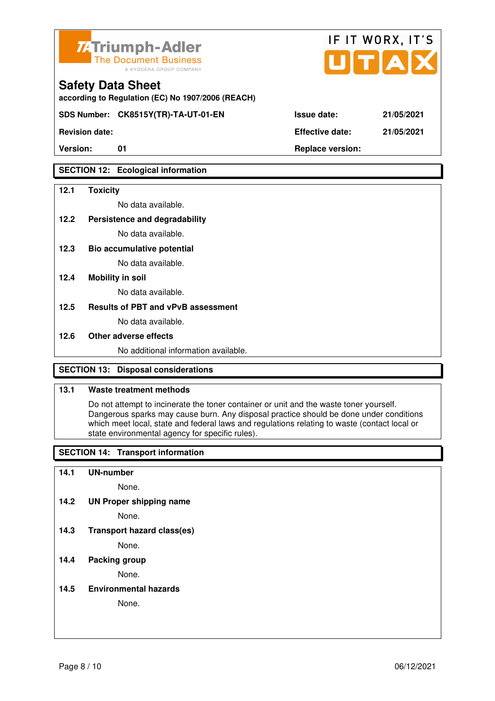

**according to Regulation (EC) No 1907/2006 (REACH)**

**SDS Number: CK8515Y(TR)-TA-UT-01-EN Issue date: 21/05/2021** 

**Revision date: Effective date: 21/05/2021** 

### **SECTION 12: Ecological information**

### **12.1 Toxicity**

No data available.

### **12.2 Persistence and degradability**

No data available.

**12.3 Bio accumulative potential** 

No data available.

#### **12.4 Mobility in soil**

No data available.

### **12.5 Results of PBT and vPvB assessment**

No data available.

#### **12.6 Other adverse effects**

No additional information available.

### **SECTION 13: Disposal considerations**

### **13.1 Waste treatment methods**

 Do not attempt to incinerate the toner container or unit and the waste toner yourself. Dangerous sparks may cause burn. Any disposal practice should be done under conditions which meet local, state and federal laws and regulations relating to waste (contact local or state environmental agency for specific rules).

### **SECTION 14: Transport information**

#### **14.1 UN-number**

None.

**14.2 UN Proper shipping name** 

None.

**14.3 Transport hazard class(es)** 

None.

### **14.4 Packing group**

None.

**14.5 Environmental hazards** 

None.

| ue date: | 21/05/20 |
|----------|----------|
|          |          |

IF IT WORX, IT'S

Version: 01 01 **Replace version: Replace version:**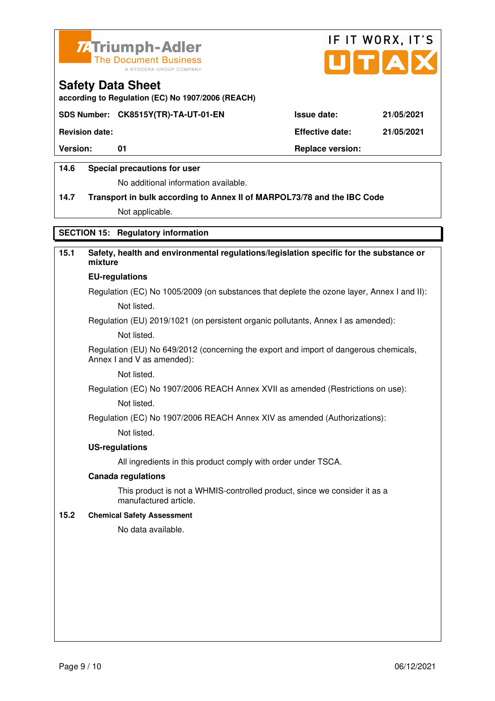



**according to Regulation (EC) No 1907/2006 (REACH)**

### **SDS Number: CK8515Y(TR)-TA-UT-01-EN Issue date: 21/05/2021**

**Revision date: Effective date: 21/05/2021** 

Version: 01 01 **Replace version:** 

### **14.6 Special precautions for user**

No additional information available.

# **14.7 Transport in bulk according to Annex II of MARPOL73/78 and the IBC Code**

Not applicable.

### **SECTION 15: Regulatory information**

### **15.1 Safety, health and environmental regulations/legislation specific for the substance or mixture EU-regulations**

Regulation (EC) No 1005/2009 (on substances that deplete the ozone layer, Annex I and II): Not listed.

Regulation (EU) 2019/1021 (on persistent organic pollutants, Annex I as amended):

Not listed.

 Regulation (EU) No 649/2012 (concerning the export and import of dangerous chemicals, Annex I and V as amended):

Not listed.

 Regulation (EC) No 1907/2006 REACH Annex XVII as amended (Restrictions on use): Not listed.

Regulation (EC) No 1907/2006 REACH Annex XIV as amended (Authorizations):

Not listed.

#### **US-regulations**

All ingredients in this product comply with order under TSCA.

#### **Canada regulations**

 This product is not a WHMIS-controlled product, since we consider it as a manufactured article.

#### **15.2 Chemical Safety Assessment**

No data available.